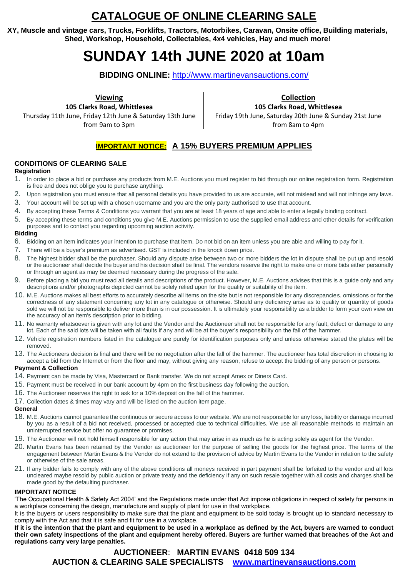# **CATALOGUE OF ONLINE CLEARING SALE**

**XY, Muscle and vintage cars, Trucks, Forklifts, Tractors, Motorbikes, Caravan, Onsite office, Building materials, Shed, Workshop, Household, Collectables, 4x4 vehicles, Hay and much more!**

# **SUNDAY 14th JUNE 2020 at 10am**

**BIDDING ONLINE:** <http://www.martinevansauctions.com/>

**Viewing**

**105 Clarks Road, Whittlesea** Thursday 11th June, Friday 12th June & Saturday 13th June from 9am to 3pm

**Collection 105 Clarks Road, Whittlesea** Friday 19th June, Saturday 20th June & Sunday 21st June from 8am to 4pm

# **IMPORTANT NOTICE: A 15% BUYERS PREMIUM APPLIES**

#### **CONDITIONS OF CLEARING SALE**

#### **Registration**

- 1. In order to place a bid or purchase any products from M.E. Auctions you must register to bid through our online registration form. Registration is free and does not oblige you to purchase anything.
- 2. Upon registration you must ensure that all personal details you have provided to us are accurate, will not mislead and will not infringe any laws.
- 3. Your account will be set up with a chosen username and you are the only party authorised to use that account.
- 4. By accepting these Terms & Conditions you warrant that you are at least 18 years of age and able to enter a legally binding contract.
- 5. By accepting these terms and conditions you give M.E. Auctions permission to use the supplied email address and other details for verification purposes and to contact you regarding upcoming auction activity.

#### **Bidding**

- 6. Bidding on an item indicates your intention to purchase that item. Do not bid on an item unless you are able and willing to pay for it.
- 7. There will be a buyer's premium as advertised. GST is included in the knock down price.
- 8. The highest bidder shall be the purchaser. Should any dispute arise between two or more bidders the lot in dispute shall be put up and resold or the auctioneer shall decide the buyer and his decision shall be final. The vendors reserve the right to make one or more bids either personally or through an agent as may be deemed necessary during the progress of the sale.
- 9. Before placing a bid you must read all details and descriptions of the product. However, M.E. Auctions advises that this is a guide only and any descriptions and/or photographs depicted cannot be solely relied upon for the quality or suitability of the item.
- 10. M.E. Auctions makes all best efforts to accurately describe all items on the site but is not responsible for any discrepancies, omissions or for the correctness of any statement concerning any lot in any catalogue or otherwise. Should any deficiency arise as to quality or quantity of goods sold we will not be responsible to deliver more than is in our possession. It is ultimately your responsibility as a bidder to form your own view on the accuracy of an item's description prior to bidding.
- 11. No warranty whatsoever is given with any lot and the Vendor and the Auctioneer shall not be responsible for any fault, defect or damage to any lot. Each of the said lots will be taken with all faults if any and will be at the buyer's responsibility on the fall of the hammer.
- 12. Vehicle registration numbers listed in the catalogue are purely for identification purposes only and unless otherwise stated the plates will be removed.
- 13. The Auctioneers decision is final and there will be no negotiation after the fall of the hammer. The auctioneer has total discretion in choosing to accept a bid from the Internet or from the floor and may, without giving any reason, refuse to accept the bidding of any person or persons.

#### **Payment & Collection**

- 14. Payment can be made by Visa, Mastercard or Bank transfer. We do not accept Amex or Diners Card.
- 15. Payment must be received in our bank account by 4pm on the first business day following the auction.
- 16. The Auctioneer reserves the right to ask for a 10% deposit on the fall of the hammer.
- 17. Collection dates & times may vary and will be listed on the auction item page.

#### **General**

- 18. M.E. Auctions cannot guarantee the continuous or secure access to our website. We are not responsible for any loss, liability or damage incurred by you as a result of a bid not received, processed or accepted due to technical difficulties. We use all reasonable methods to maintain an uninterrupted service but offer no guarantee or promises.
- 19. The Auctioneer will not hold himself responsible for any action that may arise in as much as he is acting solely as agent for the Vendor.
- 20. Martin Evans has been retained by the Vendor as auctioneer for the purpose of selling the goods for the highest price. The terms of the engagement between Martin Evans & the Vendor do not extend to the provision of advice by Martin Evans to the Vendor in relation to the safety or otherwise of the sale areas.
- 21. If any bidder fails to comply with any of the above conditions all moneys received in part payment shall be forfeited to the vendor and all lots uncleared maybe resold by public auction or private treaty and the deficiency if any on such resale together with all costs and charges shall be made good by the defaulting purchaser.

#### **IMPORTANT NOTICE**

'The Occupational Health & Safety Act 2004' and the Regulations made under that Act impose obligations in respect of safety for persons in a workplace concerning the design, manufacture and supply of plant for use in that workplace.

It is the buyers or users responsibility to make sure that the plant and equipment to be sold today is brought up to standard necessary to comply with the Act and that it is safe and fit for use in a workplace.

**If it is the intention that the plant and equipment to be used in a workplace as defined by the Act, buyers are warned to conduct their own safety inspections of the plant and equipment hereby offered. Buyers are further warned that breaches of the Act and regulations carry very large penalties.** 

### **AUCTIONEER**: **MARTIN EVANS 0418 509 134 AUCTION & CLEARING SALE SPECIALISTS [www.martinevansauctions.com](http://www.martinevansauctions.com/)**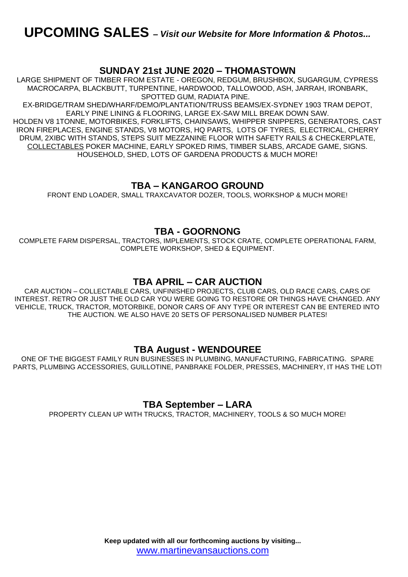### **SUNDAY 21st JUNE 2020 – THOMASTOWN**

LARGE SHIPMENT OF TIMBER FROM ESTATE - OREGON, REDGUM, BRUSHBOX, SUGARGUM, CYPRESS MACROCARPA, BLACKBUTT, TURPENTINE, HARDWOOD, TALLOWOOD, ASH, JARRAH, IRONBARK, SPOTTED GUM, RADIATA PINE.

EX-BRIDGE/TRAM SHED/WHARF/DEMO/PLANTATION/TRUSS BEAMS/EX-SYDNEY 1903 TRAM DEPOT, EARLY PINE LINING & FLOORING, LARGE EX-SAW MILL BREAK DOWN SAW. HOLDEN V8 1TONNE, MOTORBIKES, FORKLIFTS, CHAINSAWS, WHIPPER SNIPPERS, GENERATORS, CAST IRON FIREPLACES, ENGINE STANDS, V8 MOTORS, HQ PARTS, LOTS OF TYRES, ELECTRICAL, CHERRY DRUM, 2XIBC WITH STANDS, STEPS SUIT MEZZANINE FLOOR WITH SAFETY RAILS & CHECKERPLATE, COLLECTABLES POKER MACHINE, EARLY SPOKED RIMS, TIMBER SLABS, ARCADE GAME, SIGNS. HOUSEHOLD, SHED, LOTS OF GARDENA PRODUCTS & MUCH MORE!

## **TBA – KANGAROO GROUND**

FRONT END LOADER, SMALL TRAXCAVATOR DOZER, TOOLS, WORKSHOP & MUCH MORE!

### **TBA - GOORNONG**

COMPLETE FARM DISPERSAL, TRACTORS, IMPLEMENTS, STOCK CRATE, COMPLETE OPERATIONAL FARM, COMPLETE WORKSHOP, SHED & EQUIPMENT.

### **TBA APRIL – CAR AUCTION**

CAR AUCTION – COLLECTABLE CARS, UNFINISHED PROJECTS, CLUB CARS, OLD RACE CARS, CARS OF INTEREST. RETRO OR JUST THE OLD CAR YOU WERE GOING TO RESTORE OR THINGS HAVE CHANGED. ANY VEHICLE, TRUCK, TRACTOR, MOTORBIKE, DONOR CARS OF ANY TYPE OR INTEREST CAN BE ENTERED INTO THE AUCTION. WE ALSO HAVE 20 SETS OF PERSONALISED NUMBER PLATES!

### **TBA August - WENDOUREE**

ONE OF THE BIGGEST FAMILY RUN BUSINESSES IN PLUMBING, MANUFACTURING, FABRICATING. SPARE PARTS, PLUMBING ACCESSORIES, GUILLOTINE, PANBRAKE FOLDER, PRESSES, MACHINERY, IT HAS THE LOT!

### **TBA September – LARA**

PROPERTY CLEAN UP WITH TRUCKS, TRACTOR, MACHINERY, TOOLS & SO MUCH MORE!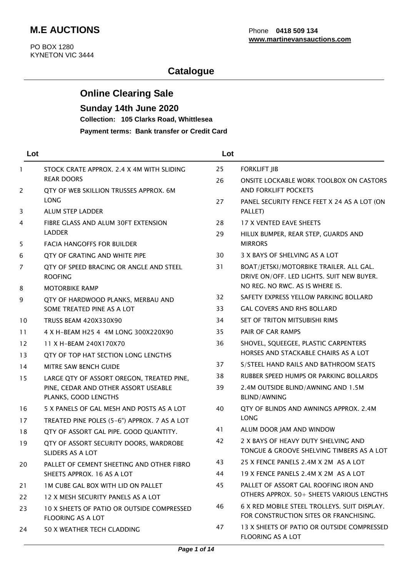# **Catalogue**

# **Online Clearing Sale**

## **Sunday 14th June 2020**

**Collection: 105 Clarks Road, Whittlesea**

**Payment terms: Bank transfer or Credit Card**

| Lot            |                                                                   | Lot |                                                                                        |
|----------------|-------------------------------------------------------------------|-----|----------------------------------------------------------------------------------------|
| $\mathbf{1}$   | STOCK CRATE APPROX. 2.4 X 4M WITH SLIDING                         | 25  | <b>FORKLIFT JIB</b>                                                                    |
| 2              | <b>REAR DOORS</b><br>QTY OF WEB SKILLION TRUSSES APPROX. 6M       | 26  | <b>ONSITE LOCKABLE WORK TOOLBOX ON CASTORS</b><br>AND FORKLIFT POCKETS                 |
|                | <b>LONG</b>                                                       | 27  | PANEL SECURITY FENCE FEET X 24 AS A LOT (ON                                            |
| 3              | <b>ALUM STEP LADDER</b>                                           |     | PALLET)                                                                                |
| 4              | FIBRE GLASS AND ALUM 30FT EXTENSION                               | 28  | 17 X VENTED EAVE SHEETS                                                                |
|                | <b>LADDER</b>                                                     | 29  | HILUX BUMPER, REAR STEP, GUARDS AND                                                    |
| 5              | <b>FACIA HANGOFFS FOR BUILDER</b>                                 |     | <b>MIRRORS</b>                                                                         |
| 6              | QTY OF GRATING AND WHITE PIPE                                     | 30  | 3 X BAYS OF SHELVING AS A LOT                                                          |
| $\overline{7}$ | QTY OF SPEED BRACING OR ANGLE AND STEEL<br><b>ROOFING</b>         | 31  | BOAT/JETSKI/MOTORBIKE TRAILER. ALL GAL.<br>DRIVE ON/OFF. LED LIGHTS. SUIT NEW BUYER.   |
| 8              | <b>MOTORBIKE RAMP</b>                                             |     | NO REG. NO RWC. AS IS WHERE IS.                                                        |
| 9              | QTY OF HARDWOOD PLANKS, MERBAU AND                                | 32  | SAFETY EXPRESS YELLOW PARKING BOLLARD                                                  |
|                | SOME TREATED PINE AS A LOT                                        | 33  | <b>GAL COVERS AND RHS BOLLARD</b>                                                      |
| 10             | <b>TRUSS BEAM 420X330X90</b>                                      | 34  | SET OF TRITON MITSUBISHI RIMS                                                          |
| 11             | 4 X H-BEAM H25 4 4M LONG 300X220X90                               | 35  | PAIR OF CAR RAMPS                                                                      |
| 12             | 11 X H-BEAM 240X170X70                                            | 36  | SHOVEL, SQUEEGEE, PLASTIC CARPENTERS                                                   |
| 13             | QTY OF TOP HAT SECTION LONG LENGTHS                               |     | HORSES AND STACKABLE CHAIRS AS A LOT                                                   |
| 14             | MITRE SAW BENCH GUIDE                                             | 37  | S/STEEL HAND RAILS AND BATHROOM SEATS                                                  |
| 15             | LARGE QTY OF ASSORT OREGON, TREATED PINE,                         | 38  | RUBBER SPEED HUMPS OR PARKING BOLLARDS                                                 |
|                | PINE, CEDAR AND OTHER ASSORT USEABLE<br>PLANKS, GOOD LENGTHS      | 39  | 2.4M OUTSIDE BLIND/AWNING AND 1.5M<br><b>BLIND/AWNING</b>                              |
| 16             | 5 X PANELS OF GAL MESH AND POSTS AS A LOT                         | 40  | QTY OF BLINDS AND AWNINGS APPROX. 2.4M                                                 |
| 17             | TREATED PINE POLES (5-6") APPROX. 7 AS A LOT                      |     | <b>LONG</b>                                                                            |
| 18             | QTY OF ASSORT GAL PIPE. GOOD QUANTITY.                            | 41  | ALUM DOOR JAM AND WINDOW                                                               |
| 19             | QTY OF ASSORT SECURITY DOORS, WARDROBE<br><b>SLIDERS AS A LOT</b> | 42  | 2 X BAYS OF HEAVY DUTY SHELVING AND<br>TONGUE & GROOVE SHELVING TIMBERS AS A LOT       |
| 20             | PALLET OF CEMENT SHEETING AND OTHER FIBRO                         | 43  | 25 X FENCE PANELS 2.4M X 2M AS A LOT                                                   |
|                | SHEETS APPROX. 16 AS A LOT                                        | 44  | 19 X FENCE PANELS 2.4M X 2M AS A LOT                                                   |
| 21             | <b>1M CUBE GAL BOX WITH LID ON PALLET</b>                         | 45  | PALLET OF ASSORT GAL ROOFING IRON AND                                                  |
| 22             | 12 X MESH SECURITY PANELS AS A LOT                                |     | OTHERS APPROX. 50+ SHEETS VARIOUS LENGTHS                                              |
| 23             | 10 X SHEETS OF PATIO OR OUTSIDE COMPRESSED<br>FLOORING AS A LOT   | 46  | 6 X RED MOBILE STEEL TROLLEYS, SUIT DISPLAY.<br>FOR CONSTRUCTION SITES OR FRANCHISING. |
| 24             | 50 X WEATHER TECH CLADDING                                        | 47  | 13 X SHEETS OF PATIO OR OUTSIDE COMPRESSED<br>FLOORING AS A LOT                        |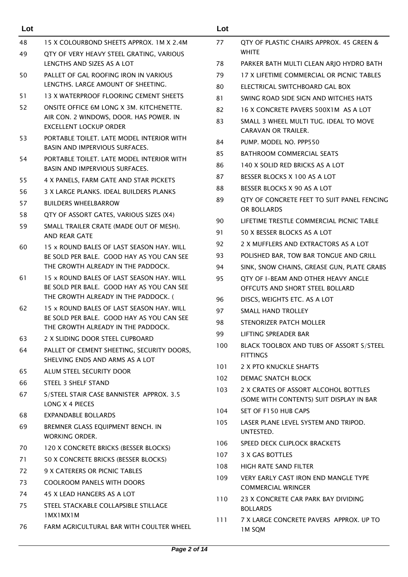| Lot |                                                                                        | Lot |                                                                                  |
|-----|----------------------------------------------------------------------------------------|-----|----------------------------------------------------------------------------------|
| 48  | 15 X COLOURBOND SHEETS APPROX. 1M X 2.4M                                               | 77  | QTY OF PLASTIC CHAIRS APPROX. 45 GREEN &                                         |
| 49  | QTY OF VERY HEAVY STEEL GRATING, VARIOUS                                               |     | <b>WHITE</b>                                                                     |
|     | LENGTHS AND SIZES AS A LOT                                                             | 78  | PARKER BATH MULTI CLEAN ARJO HYDRO BATH                                          |
| 50  | PALLET OF GAL ROOFING IRON IN VARIOUS                                                  | 79  | 17 X LIFETIME COMMERCIAL OR PICNIC TABLES                                        |
|     | LENGTHS. LARGE AMOUNT OF SHEETING.                                                     | 80  | ELECTRICAL SWITCHBOARD GAL BOX                                                   |
| 51  | 13 X WATERPROOF FLOORING CEMENT SHEETS                                                 | 81  | SWING ROAD SIDE SIGN AND WITCHES HATS                                            |
| 52  | ONSITE OFFICE 6M LONG X 3M. KITCHENETTE.                                               | 82  | 16 X CONCRETE PAVERS 500X1M AS A LOT                                             |
|     | AIR CON. 2 WINDOWS, DOOR. HAS POWER. IN<br><b>EXCELLENT LOCKUP ORDER</b>               | 83  | SMALL 3 WHEEL MULTI TUG. IDEAL TO MOVE<br><b>CARAVAN OR TRAILER.</b>             |
| 53  | PORTABLE TOILET. LATE MODEL INTERIOR WITH<br><b>BASIN AND IMPERVIOUS SURFACES.</b>     | 84  | PUMP. MODEL NO. PPP550                                                           |
| 54  | PORTABLE TOILET. LATE MODEL INTERIOR WITH                                              | 85  | <b>BATHROOM COMMERCIAL SEATS</b>                                                 |
|     | <b>BASIN AND IMPERVIOUS SURFACES.</b>                                                  | 86  | 140 X SOLID RED BRICKS AS A LOT                                                  |
| 55  | 4 X PANELS, FARM GATE AND STAR PICKETS                                                 | 87  | BESSER BLOCKS X 100 AS A LOT                                                     |
| 56  | 3 X LARGE PLANKS. IDEAL BUILDERS PLANKS                                                | 88  | BESSER BLOCKS X 90 AS A LOT                                                      |
| 57  | <b>BUILDERS WHEELBARROW</b>                                                            | 89  | QTY OF CONCRETE FEET TO SUIT PANEL FENCING<br>OR BOLLARDS                        |
| 58  | QTY OF ASSORT GATES, VARIOUS SIZES (X4)                                                | 90  | LIFETIME TRESTLE COMMERCIAL PICNIC TABLE                                         |
| 59  | SMALL TRAILER CRATE (MADE OUT OF MESH).<br><b>AND REAR GATE</b>                        | 91  | 50 X BESSER BLOCKS AS A LOT                                                      |
| 60  | 15 x ROUND BALES OF LAST SEASON HAY, WILL                                              | 92  | 2 X MUFFLERS AND EXTRACTORS AS A LOT                                             |
|     | BE SOLD PER BALE. GOOD HAY AS YOU CAN SEE                                              | 93  | POLISHED BAR, TOW BAR TONGUE AND GRILL                                           |
|     | THE GROWTH ALREADY IN THE PADDOCK.                                                     | 94  | SINK, SNOW CHAINS, GREASE GUN, PLATE GRABS                                       |
| 61  | 15 x ROUND BALES OF LAST SEASON HAY, WILL                                              | 95  | QTY OF I-BEAM AND OTHER HEAVY ANGLE                                              |
|     | BE SOLD PER BALE. GOOD HAY AS YOU CAN SEE                                              |     | OFFCUTS AND SHORT STEEL BOLLARD                                                  |
|     | THE GROWTH ALREADY IN THE PADDOCK. (                                                   | 96  | DISCS, WEIGHTS ETC. AS A LOT                                                     |
| 62  | 15 x ROUND BALES OF LAST SEASON HAY. WILL<br>BE SOLD PER BALE. GOOD HAY AS YOU CAN SEE | 97  | SMALL HAND TROLLEY                                                               |
|     | THE GROWTH ALREADY IN THE PADDOCK.                                                     | 98  | STENORIZER PATCH MOLLER                                                          |
| 63  | 2 X SLIDING DOOR STEEL CUPBOARD                                                        | 99  | <b>LIFTING SPREADER BAR</b>                                                      |
| 64  | PALLET OF CEMENT SHEETING, SECURITY DOORS,<br>SHELVING ENDS AND ARMS AS A LOT          | 100 | BLACK TOOLBOX AND TUBS OF ASSORT S/STEEL<br><b>FITTINGS</b>                      |
| 65  | ALUM STEEL SECURITY DOOR                                                               | 101 | 2 X PTO KNUCKLE SHAFTS                                                           |
| 66  | STEEL 3 SHELF STAND                                                                    | 102 | DEMAC SNATCH BLOCK                                                               |
| 67  | S/STEEL STAIR CASE BANNISTER APPROX. 3.5<br>LONG X 4 PIECES                            | 103 | 2 X CRATES OF ASSORT ALCOHOL BOTTLES<br>(SOME WITH CONTENTS) SUIT DISPLAY IN BAR |
| 68  | <b>EXPANDABLE BOLLARDS</b>                                                             | 104 | SET OF F150 HUB CAPS                                                             |
| 69  | BREMNER GLASS EQUIPMENT BENCH. IN                                                      | 105 | LASER PLANE LEVEL SYSTEM AND TRIPOD.<br>UNTESTED.                                |
| 70  | WORKING ORDER.<br>120 X CONCRETE BRICKS (BESSER BLOCKS)                                | 106 | SPEED DECK CLIPLOCK BRACKETS                                                     |
| 71  | 50 X CONCRETE BRICKS (BESSER BLOCKS)                                                   | 107 | 3 X GAS BOTTLES                                                                  |
| 72  | 9 X CATERERS OR PICNIC TABLES                                                          | 108 | <b>HIGH RATE SAND FILTER</b>                                                     |
| 73  | <b>COOLROOM PANELS WITH DOORS</b>                                                      | 109 | VERY EARLY CAST IRON END MANGLE TYPE                                             |
| 74  | 45 X LEAD HANGERS AS A LOT                                                             |     | <b>COMMERCIAL WRINGER</b>                                                        |
| 75  | STEEL STACKABLE COLLAPSIBLE STILLAGE<br>1MX1MX1M                                       | 110 | 23 X CONCRETE CAR PARK BAY DIVIDING<br><b>BOLLARDS</b>                           |
| 76  | FARM AGRICULTURAL BAR WITH COULTER WHEEL                                               | 111 | 7 X LARGE CONCRETE PAVERS APPROX. UP TO<br><b>1M SQM</b>                         |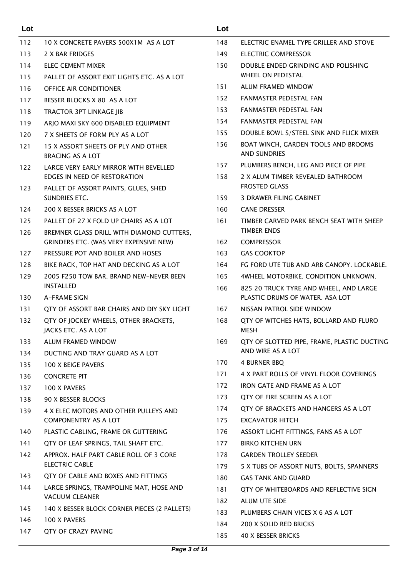| Lot |                                                                      | Lot        |                                                                           |
|-----|----------------------------------------------------------------------|------------|---------------------------------------------------------------------------|
| 112 | 10 X CONCRETE PAVERS 500X1M AS A LOT                                 | 148        | ELECTRIC ENAMEL TYPE GRILLER AND STOVE                                    |
| 113 | 2 X BAR FRIDGES                                                      | 149        | ELECTRIC COMPRESSOR                                                       |
| 114 | ELEC CEMENT MIXER                                                    | 150        | DOUBLE ENDED GRINDING AND POLISHING                                       |
| 115 | PALLET OF ASSORT EXIT LIGHTS ETC. AS A LOT                           |            | WHEEL ON PEDESTAL                                                         |
| 116 | <b>OFFICE AIR CONDITIONER</b>                                        | 151        | ALUM FRAMED WINDOW                                                        |
| 117 | BESSER BLOCKS X 80 AS A LOT                                          | 152        | FANMASTER PEDESTAL FAN                                                    |
| 118 | <b>TRACTOR 3PT LINKAGE JIB</b>                                       | 153        | <b>FANMASTER PEDESTAL FAN</b>                                             |
| 119 | ARJO MAXI SKY 600 DISABLED EQUIPMENT                                 | 154        | FANMASTER PEDESTAL FAN                                                    |
| 120 | 7 X SHEETS OF FORM PLY AS A LOT                                      | 155        | DOUBLE BOWL S/STEEL SINK AND FLICK MIXER                                  |
| 121 | 15 X ASSORT SHEETS OF PLY AND OTHER<br>BRACING AS A LOT              | 156        | BOAT WINCH, GARDEN TOOLS AND BROOMS<br><b>AND SUNDRIES</b>                |
| 122 | LARGE VERY EARLY MIRROR WITH BEVELLED                                | 157        | PLUMBERS BENCH, LEG AND PIECE OF PIPE                                     |
| 123 | EDGES IN NEED OF RESTORATION<br>PALLET OF ASSORT PAINTS, GLUES, SHED | 158        | 2 X ALUM TIMBER REVEALED BATHROOM<br><b>FROSTED GLASS</b>                 |
|     | SUNDRIES ETC.                                                        | 159        | <b>3 DRAWER FILING CABINET</b>                                            |
| 124 | 200 X BESSER BRICKS AS A LOT                                         | 160        | <b>CANE DRESSER</b>                                                       |
| 125 | PALLET OF 27 X FOLD UP CHAIRS AS A LOT                               | 161        | TIMBER CARVED PARK BENCH SEAT WITH SHEEP                                  |
| 126 | BREMNER GLASS DRILL WITH DIAMOND CUTTERS,                            |            | <b>TIMBER ENDS</b>                                                        |
|     | GRINDERS ETC. (WAS VERY EXPENSIVE NEW)                               | 162        | <b>COMPRESSOR</b>                                                         |
| 127 | PRESSURE POT AND BOILER AND HOSES                                    | 163        | <b>GAS COOKTOP</b>                                                        |
| 128 | BIKE RACK, TOP HAT AND DECKING AS A LOT                              | 164        | FG FORD UTE TUB AND ARB CANOPY. LOCKABLE.                                 |
| 129 | 2005 F250 TOW BAR, BRAND NEW-NEVER BEEN                              | 165        | 4WHEEL MOTORBIKE, CONDITION UNKNOWN.                                      |
| 130 | <b>INSTALLED</b><br><b>A-FRAME SIGN</b>                              | 166        | 825 20 TRUCK TYRE AND WHEEL, AND LARGE<br>PLASTIC DRUMS OF WATER. ASA LOT |
| 131 | QTY OF ASSORT BAR CHAIRS AND DIY SKY LIGHT                           | 167        | NISSAN PATROL SIDE WINDOW                                                 |
| 132 | QTY OF JOCKEY WHEELS, OTHER BRACKETS,<br>JACKS ETC. AS A LOT         | 168        | QTY OF WITCHES HATS, BOLLARD AND FLURO<br><b>MESH</b>                     |
| 133 | ALUM FRAMED WINDOW                                                   | 169        | QTY OF SLOTTED PIPE, FRAME, PLASTIC DUCTING                               |
| 134 | DUCTING AND TRAY GUARD AS A LOT                                      |            | AND WIRE AS A LOT                                                         |
| 135 | <b>100 X BEIGE PAVERS</b>                                            | 170        | 4 BURNER BBQ                                                              |
| 136 | <b>CONCRETE PIT</b>                                                  | 171        | 4 X PART ROLLS OF VINYL FLOOR COVERINGS                                   |
| 137 | 100 X PAVERS                                                         | 172        | IRON GATE AND FRAME AS A LOT                                              |
| 138 | 90 X BESSER BLOCKS                                                   | 173        | QTY OF FIRE SCREEN AS A LOT                                               |
| 139 | 4 X ELEC MOTORS AND OTHER PULLEYS AND                                | 174        | OTY OF BRACKETS AND HANGERS AS A LOT                                      |
|     | <b>COMPONENTRY AS A LOT</b>                                          | 175        | EXCAVATOR HITCH                                                           |
| 140 | PLASTIC CABLING, FRAME OR GUTTERING                                  | 176        | ASSORT LIGHT FITTINGS, FANS AS A LOT                                      |
| 141 | QTY OF LEAF SPRINGS, TAIL SHAFT ETC.                                 | 177        | <b>BIRKO KITCHEN URN</b>                                                  |
| 142 | APPROX. HALF PART CABLE ROLL OF 3 CORE                               | 178        | <b>GARDEN TROLLEY SEEDER</b>                                              |
|     | <b>ELECTRIC CABLE</b>                                                | 179        | 5 X TUBS OF ASSORT NUTS, BOLTS, SPANNERS                                  |
| 143 | QTY OF CABLE AND BOXES AND FITTINGS                                  | 180        | <b>GAS TANK AND GUARD</b>                                                 |
| 144 | LARGE SPRINGS, TRAMPOLINE MAT, HOSE AND<br><b>VACUUM CLEANER</b>     | 181<br>182 | QTY OF WHITEBOARDS AND REFLECTIVE SIGN<br>ALUM UTE SIDE                   |
| 145 | 140 X BESSER BLOCK CORNER PIECES (2 PALLETS)                         | 183        | PLUMBERS CHAIN VICES X 6 AS A LOT                                         |
| 146 | 100 X PAVERS                                                         | 184        | 200 X SOLID RED BRICKS                                                    |
| 147 | QTY OF CRAZY PAVING                                                  | 185        | 40 X BESSER BRICKS                                                        |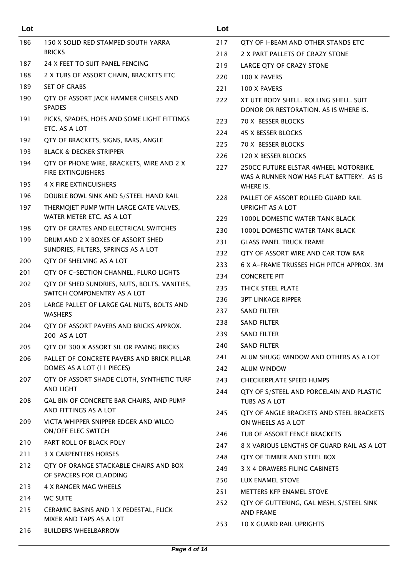| Lot        |                                                                          | Lot |                                                                                   |
|------------|--------------------------------------------------------------------------|-----|-----------------------------------------------------------------------------------|
| 186        | 150 X SOLID RED STAMPED SOUTH YARRA                                      | 217 | QTY OF I-BEAM AND OTHER STANDS ETC                                                |
|            | <b>BRICKS</b>                                                            | 218 | 2 X PART PALLETS OF CRAZY STONE                                                   |
| 187        | 24 X FEET TO SUIT PANEL FENCING                                          | 219 | LARGE QTY OF CRAZY STONE                                                          |
| 188        | 2 X TUBS OF ASSORT CHAIN, BRACKETS ETC                                   | 220 | 100 X PAVERS                                                                      |
| 189        | <b>SET OF GRABS</b>                                                      | 221 | 100 X PAVERS                                                                      |
| 190        | QTY OF ASSORT JACK HAMMER CHISELS AND<br><b>SPADES</b>                   | 222 | XT UTE BODY SHELL, ROLLING SHELL, SUIT<br>DONOR OR RESTORATION. AS IS WHERE IS.   |
| 191        | PICKS, SPADES, HOES AND SOME LIGHT FITTINGS                              | 223 | 70 X BESSER BLOCKS                                                                |
|            | ETC. AS A LOT                                                            | 224 | 45 X BESSER BLOCKS                                                                |
| 192        | QTY OF BRACKETS, SIGNS, BARS, ANGLE                                      | 225 | 70 X BESSER BLOCKS                                                                |
| 193        | <b>BLACK &amp; DECKER STRIPPER</b>                                       | 226 | 120 X BESSER BLOCKS                                                               |
| 194        | QTY OF PHONE WIRE, BRACKETS, WIRE AND 2 X<br>FIRE EXTINGUISHERS          | 227 | 250CC FUTURE ELSTAR 4WHEEL MOTORBIKE.<br>WAS A RUNNER NOW HAS FLAT BATTERY. AS IS |
| 195        | 4 X FIRE EXTINGUISHERS                                                   |     | WHERE IS.                                                                         |
| 196        | DOUBLE BOWL SINK AND S/STEEL HAND RAIL                                   | 228 | PALLET OF ASSORT ROLLED GUARD RAIL                                                |
| 197        | THERMOJET PUMP WITH LARGE GATE VALVES,                                   |     | <b>UPRIGHT AS A LOT</b>                                                           |
|            | WATER METER ETC. AS A LOT                                                | 229 | 1000L DOMESTIC WATER TANK BLACK                                                   |
| 198        | QTY OF GRATES AND ELECTRICAL SWITCHES                                    | 230 | 1000L DOMESTIC WATER TANK BLACK                                                   |
| 199        | DRUM AND 2 X BOXES OF ASSORT SHED<br>SUNDRIES, FILTERS, SPRINGS AS A LOT | 231 | <b>GLASS PANEL TRUCK FRAME</b>                                                    |
| 200        | QTY OF SHELVING AS A LOT                                                 | 232 | QTY OF ASSORT WIRE AND CAR TOW BAR                                                |
| 201        | QTY OF C-SECTION CHANNEL, FLURO LIGHTS                                   | 233 | 6 X A-FRAME TRUSSES HIGH PITCH APPROX. 3M                                         |
| 202        | QTY OF SHED SUNDRIES, NUTS, BOLTS, VANITIES,                             | 234 | <b>CONCRETE PIT</b>                                                               |
|            | SWITCH COMPONENTRY AS A LOT                                              | 235 | THICK STEEL PLATE                                                                 |
| 203        | LARGE PALLET OF LARGE GAL NUTS, BOLTS AND                                | 236 | <b>3PT LINKAGE RIPPER</b>                                                         |
|            | <b>WASHERS</b>                                                           | 237 | <b>SAND FILTER</b>                                                                |
| 204        | QTY OF ASSORT PAVERS AND BRICKS APPROX.                                  | 238 | <b>SAND FILTER</b>                                                                |
|            | 200 AS A LOT                                                             | 239 | <b>SAND FILTER</b>                                                                |
| 205        | QTY OF 300 X ASSORT SIL OR PAVING BRICKS                                 | 240 | <b>SAND FILTER</b>                                                                |
| 206        | PALLET OF CONCRETE PAVERS AND BRICK PILLAR                               | 241 | ALUM SHUGG WINDOW AND OTHERS AS A LOT                                             |
|            | DOMES AS A LOT (11 PIECES)                                               | 242 | <b>ALUM WINDOW</b>                                                                |
| 207        | QTY OF ASSORT SHADE CLOTH, SYNTHETIC TURF                                | 243 | <b>CHECKERPLATE SPEED HUMPS</b>                                                   |
| 208        | AND LIGHT<br>GAL BIN OF CONCRETE BAR CHAIRS, AND PUMP                    | 244 | QTY OF S/STEEL AND PORCELAIN AND PLASTIC<br>TUBS AS A LOT                         |
| 209        | AND FITTINGS AS A LOT<br>VICTA WHIPPER SNIPPER EDGER AND WILCO           | 245 | QTY OF ANGLE BRACKETS AND STEEL BRACKETS<br>ON WHEELS AS A LOT                    |
|            | ON/OFF ELEC SWITCH                                                       | 246 | TUB OF ASSORT FENCE BRACKETS                                                      |
| 210        | PART ROLL OF BLACK POLY                                                  | 247 | 8 X VARIOUS LENGTHS OF GUARD RAIL AS A LOT                                        |
| 211        | 3 X CARPENTERS HORSES                                                    | 248 | QTY OF TIMBER AND STEEL BOX                                                       |
| 212        | QTY OF ORANGE STACKABLE CHAIRS AND BOX<br>OF SPACERS FOR CLADDING        | 249 | 3 X 4 DRAWERS FILING CABINETS                                                     |
| 213        | 4 X RANGER MAG WHEELS                                                    | 250 | LUX ENAMEL STOVE                                                                  |
|            |                                                                          | 251 | <b>METTERS KFP ENAMEL STOVE</b>                                                   |
| 214<br>215 | <b>WC SUITE</b><br>CERAMIC BASINS AND 1 X PEDESTAL, FLICK                | 252 | QTY OF GUTTERING, GAL MESH, S/STEEL SINK<br><b>AND FRAME</b>                      |
| 216        | MIXER AND TAPS AS A LOT<br><b>BUILDERS WHEELBARROW</b>                   | 253 | 10 X GUARD RAIL UPRIGHTS                                                          |
|            |                                                                          |     |                                                                                   |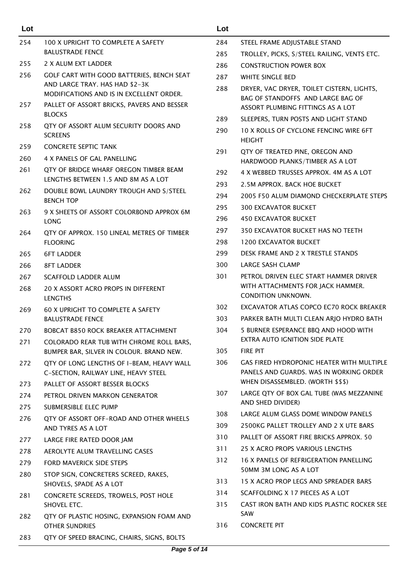| Lot        |                                                                                                                          | Lot |                                                                                                                     |
|------------|--------------------------------------------------------------------------------------------------------------------------|-----|---------------------------------------------------------------------------------------------------------------------|
| 254        | 100 X UPRIGHT TO COMPLETE A SAFETY                                                                                       | 284 | STEEL FRAME ADJUSTABLE STAND                                                                                        |
|            | <b>BALUSTRADE FENCE</b>                                                                                                  | 285 | TROLLEY, PICKS, S/STEEL RAILING, VENTS ETC.                                                                         |
| 255        | 2 X ALUM EXT LADDER                                                                                                      | 286 | <b>CONSTRUCTION POWER BOX</b>                                                                                       |
| 256        | <b>GOLF CART WITH GOOD BATTERIES, BENCH SEAT</b>                                                                         | 287 | <b>WHITE SINGLE BED</b>                                                                                             |
| 257        | AND LARGE TRAY. HAS HAD \$2-3K<br>MODIFICATIONS AND IS IN EXCELLENT ORDER.<br>PALLET OF ASSORT BRICKS, PAVERS AND BESSER | 288 | DRYER, VAC DRYER, TOILET CISTERN, LIGHTS,<br>BAG OF STANDOFFS AND LARGE BAG OF<br>ASSORT PLUMBING FITTINGS AS A LOT |
|            | <b>BLOCKS</b>                                                                                                            | 289 | SLEEPERS, TURN POSTS AND LIGHT STAND                                                                                |
| 258        | QTY OF ASSORT ALUM SECURITY DOORS AND<br><b>SCREENS</b>                                                                  | 290 | 10 X ROLLS OF CYCLONE FENCING WIRE 6FT<br><b>HEIGHT</b>                                                             |
| 259        | <b>CONCRETE SEPTIC TANK</b>                                                                                              | 291 | QTY OF TREATED PINE, OREGON AND                                                                                     |
| 260        | 4 X PANELS OF GAL PANELLING                                                                                              |     | HARDWOOD PLANKS/TIMBER AS A LOT                                                                                     |
| 261        | QTY OF BRIDGE WHARF OREGON TIMBER BEAM                                                                                   | 292 | 4 X WEBBED TRUSSES APPROX, 4M AS A LOT                                                                              |
|            | LENGTHS BETWEEN 1.5 AND 8M AS A LOT                                                                                      | 293 | 2.5M APPROX. BACK HOE BUCKET                                                                                        |
| 262        | DOUBLE BOWL LAUNDRY TROUGH AND S/STEEL<br><b>BENCH TOP</b>                                                               | 294 | 2005 F50 ALUM DIAMOND CHECKERPLATE STEPS                                                                            |
| 263        | 9 X SHEETS OF ASSORT COLORBOND APPROX 6M                                                                                 | 295 | <b>300 EXCAVATOR BUCKET</b>                                                                                         |
|            | LONG                                                                                                                     | 296 | <b>450 EXCAVATOR BUCKET</b>                                                                                         |
| 264        | QTY OF APPROX. 150 LINEAL METRES OF TIMBER                                                                               | 297 | 350 EXCAVATOR BUCKET HAS NO TEETH                                                                                   |
|            | <b>FLOORING</b>                                                                                                          | 298 | <b>1200 EXCAVATOR BUCKET</b>                                                                                        |
| 265        | <b>6FT LADDER</b>                                                                                                        | 299 | DESK FRAME AND 2 X TRESTLE STANDS                                                                                   |
| 266        | <b>8FT LADDER</b>                                                                                                        | 300 | <b>LARGE SASH CLAMP</b>                                                                                             |
| 267        | <b>SCAFFOLD LADDER ALUM</b>                                                                                              | 301 | PETROL DRIVEN ELEC START HAMMER DRIVER                                                                              |
| 268        | 20 X ASSORT ACRO PROPS IN DIFFERENT<br><b>LENGTHS</b>                                                                    |     | WITH ATTACHMENTS FOR JACK HAMMER.<br><b>CONDITION UNKNOWN.</b>                                                      |
| 269        | <b>60 X UPRIGHT TO COMPLETE A SAFETY</b>                                                                                 | 302 | EXCAVATOR ATLAS COPCO EC70 ROCK BREAKER                                                                             |
|            | <b>BALUSTRADE FENCE</b>                                                                                                  | 303 | PARKER BATH MULTI CLEAN ARJO HYDRO BATH                                                                             |
| 270<br>271 | <b>BOBCAT B850 ROCK BREAKER ATTACHMENT</b><br>COLORADO REAR TUB WITH CHROME ROLL BARS,                                   | 304 | 5 BURNER ESPERANCE BBQ AND HOOD WITH<br>EXTRA AUTO IGNITION SIDE PLATE                                              |
|            | BUMPER BAR, SILVER IN COLOUR. BRAND NEW.                                                                                 | 305 | <b>FIRE PIT</b>                                                                                                     |
| 272        | QTY OF LONG LENGTHS OF I-BEAM, HEAVY WALL<br>C-SECTION, RAILWAY LINE, HEAVY STEEL                                        | 306 | GAS FIRED HYDROPONIC HEATER WITH MULTIPLE<br>PANELS AND GUARDS. WAS IN WORKING ORDER                                |
| 273        | PALLET OF ASSORT BESSER BLOCKS                                                                                           |     | WHEN DISASSEMBLED. (WORTH \$\$\$)                                                                                   |
| 274        | PETROL DRIVEN MARKON GENERATOR                                                                                           | 307 | LARGE QTY OF BOX GAL TUBE (WAS MEZZANINE                                                                            |
| 275        | SUBMERSIBLE ELEC PUMP                                                                                                    |     | AND SHED DIVIDER)                                                                                                   |
| 276        | QTY OF ASSORT OFF-ROAD AND OTHER WHEELS                                                                                  | 308 | LARGE ALUM GLASS DOME WINDOW PANELS                                                                                 |
|            | AND TYRES AS A LOT                                                                                                       | 309 | 2500KG PALLET TROLLEY AND 2 X UTE BARS                                                                              |
| 277        | LARGE FIRE RATED DOOR JAM                                                                                                | 310 | PALLET OF ASSORT FIRE BRICKS APPROX, 50                                                                             |
| 278        | AEROLYTE ALUM TRAVELLING CASES                                                                                           | 311 | 25 X ACRO PROPS VARIOUS LENGTHS                                                                                     |
| 279        | <b>FORD MAVERICK SIDE STEPS</b>                                                                                          | 312 | 16 X PANELS OF REFRIGERATION PANELLING<br>50MM 3M LONG AS A LOT                                                     |
| 280        | STOP SIGN, CONCRETERS SCREED, RAKES,<br>SHOVELS, SPADE AS A LOT                                                          | 313 | 15 X ACRO PROP LEGS AND SPREADER BARS                                                                               |
| 281        | CONCRETE SCREEDS, TROWELS, POST HOLE                                                                                     | 314 | SCAFFOLDING X 17 PIECES AS A LOT                                                                                    |
|            | SHOVEL ETC.                                                                                                              | 315 | CAST IRON BATH AND KIDS PLASTIC ROCKER SEE                                                                          |
| 282        | QTY OF PLASTIC HOSING, EXPANSION FOAM AND<br><b>OTHER SUNDRIES</b>                                                       | 316 | SAW<br><b>CONCRETE PIT</b>                                                                                          |
| 283        | QTY OF SPEED BRACING, CHAIRS, SIGNS, BOLTS                                                                               |     |                                                                                                                     |
|            |                                                                                                                          |     |                                                                                                                     |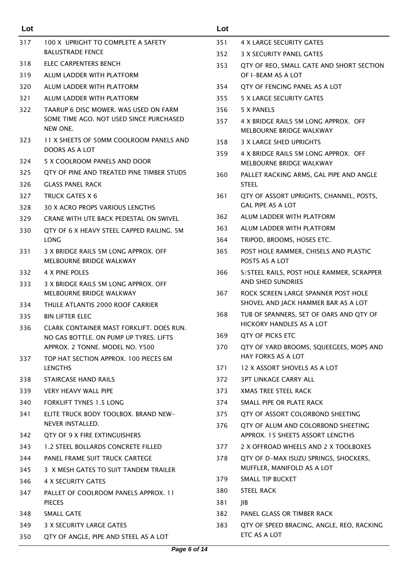| Lot        |                                                                           | Lot  |                                                                     |
|------------|---------------------------------------------------------------------------|------|---------------------------------------------------------------------|
| 317        | 100 X UPRIGHT TO COMPLETE A SAFETY                                        | 351  | 4 X LARGE SECURITY GATES                                            |
|            | <b>BALUSTRADE FENCE</b>                                                   | 352  | 3 X SECURITY PANEL GATES                                            |
| 318        | <b>ELEC CARPENTERS BENCH</b>                                              | 353  | QTY OF REO, SMALL GATE AND SHORT SECTION                            |
| 319        | ALUM LADDER WITH PLATFORM                                                 |      | OF I-BEAM AS A LOT                                                  |
| 320        | ALUM LADDER WITH PLATFORM                                                 | 354  | QTY OF FENCING PANEL AS A LOT                                       |
| 321        | ALUM LADDER WITH PLATFORM                                                 | 355  | 5 X LARGE SECURITY GATES                                            |
| 322        | TAARUP 6 DISC MOWER. WAS USED ON FARM                                     | 356  | 5 X PANELS                                                          |
|            | SOME TIME AGO. NOT USED SINCE PURCHASED<br>NEW ONE.                       | 357  | 4 X BRIDGE RAILS 5M LONG APPROX. OFF<br>MELBOURNE BRIDGE WALKWAY    |
| 323        | 11 X SHEETS OF 50MM COOLROOM PANELS AND                                   | 358  | 3 X LARGE SHED UPRIGHTS                                             |
|            | DOORS AS A LOT                                                            | 359  | 4 X BRIDGE RAILS 5M LONG APPROX. OFF                                |
| 324        | 5 X COOLROOM PANELS AND DOOR                                              |      | MELBOURNE BRIDGE WALKWAY                                            |
| 325<br>326 | QTY OF PINE AND TREATED PINE TIMBER STUDS<br><b>GLASS PANEL RACK</b>      | 360  | PALLET RACKING ARMS, GAL PIPE AND ANGLE<br><b>STEEL</b>             |
| 327        | <b>TRUCK GATES X 6</b>                                                    | 361  | QTY OF ASSORT UPRIGHTS, CHANNEL, POSTS,                             |
| 328        | 30 X ACRO PROPS VARIOUS LENGTHS                                           |      | <b>GAL PIPE AS A LOT</b>                                            |
| 329        | CRANE WITH UTE BACK PEDESTAL ON SWIVEL                                    | 362  | ALUM LADDER WITH PLATFORM                                           |
| 330        | QTY OF 6 X HEAVY STEEL CAPPED RAILING. 5M                                 | 363  | ALUM LADDER WITH PLATFORM                                           |
|            | <b>LONG</b>                                                               | 364  | TRIPOD, BROOMS, HOSES ETC.                                          |
| 331        | 3 X BRIDGE RAILS 5M LONG APPROX, OFF<br>MELBOURNE BRIDGE WALKWAY          | 365  | POST HOLE RAMMER, CHISELS AND PLASTIC<br>POSTS AS A LOT             |
| 332        | 4 X PINE POLES                                                            | 366  | S/STEEL RAILS, POST HOLE RAMMER, SCRAPPER                           |
| 333        | 3 X BRIDGE RAILS 5M LONG APPROX. OFF                                      |      | AND SHED SUNDRIES                                                   |
|            | MELBOURNE BRIDGE WALKWAY                                                  | 367  | ROCK SCREEN LARGE SPANNER POST HOLE                                 |
| 334        | THULE ATLANTIS 2000 ROOF CARRIER                                          |      | SHOVEL AND JACK HAMMER BAR AS A LOT                                 |
| 335        | <b>BIN LIFTER ELEC</b>                                                    | 368  | TUB OF SPANNERS, SET OF OARS AND QTY OF<br>HICKORY HANDLES AS A LOT |
| 336        | CLARK CONTAINER MAST FORKLIFT. DOES RUN.                                  | 369  | QTY OF PICKS ETC                                                    |
|            | NO GAS BOTTLE. ON PUMP UP TYRES. LIFTS<br>APPROX, 2 TONNE, MODEL NO. Y500 | 370  | QTY OF YARD BROOMS, SQUEEGEES, MOPS AND                             |
| 337        | TOP HAT SECTION APPROX. 100 PIECES 6M                                     |      | HAY FORKS AS A LOT                                                  |
|            | <b>LENGTHS</b>                                                            | 371  | 12 X ASSORT SHOVELS AS A LOT                                        |
| 338        | STAIRCASE HAND RAILS                                                      | 372  | <b>3PT LINKAGE CARRY ALL</b>                                        |
| 339        | <b>VERY HEAVY WALL PIPE</b>                                               | 373  | XMAS TREE STEEL RACK                                                |
| 340        | <b>FORKLIFT TYNES 1.5 LONG</b>                                            | 374  | SMALL PIPE OR PLATE RACK                                            |
| 341        | ELITE TRUCK BODY TOOLBOX. BRAND NEW-                                      | 375  | QTY OF ASSORT COLORBOND SHEETING                                    |
|            | NEVER INSTALLED.                                                          | 376  | QTY OF ALUM AND COLORBOND SHEETING                                  |
| 342        | QTY OF 9 X FIRE EXTINGUISHERS                                             |      | APPROX. 15 SHEETS ASSORT LENGTHS                                    |
| 343        | 1.2 STEEL BOLLARDS CONCRETE FILLED                                        | 377  | 2 X OFFROAD WHEELS AND 2 X TOOLBOXES                                |
| 344        | PANEL FRAME SUIT TRUCK CARTEGE                                            | 378  | QTY OF D-MAX ISUZU SPRINGS, SHOCKERS,                               |
| 345        | 3 X MESH GATES TO SUIT TANDEM TRAILER                                     |      | MUFFLER, MANIFOLD AS A LOT                                          |
| 346        | 4 X SECURITY GATES                                                        | 379. | SMALL TIP BUCKET                                                    |
| 347        | PALLET OF COOLROOM PANELS APPROX. 11                                      | 380  | <b>STEEL RACK</b>                                                   |
|            | <b>PIECES</b>                                                             | 381  | JIB.                                                                |
| 348        | SMALL GATE                                                                | 382  | PANEL GLASS OR TIMBER RACK                                          |
| 349        | 3 X SECURITY LARGE GATES                                                  | 383  | QTY OF SPEED BRACING, ANGLE, REO, RACKING                           |
| 350        | QTY OF ANGLE, PIPE AND STEEL AS A LOT                                     |      | ETC AS A LOT                                                        |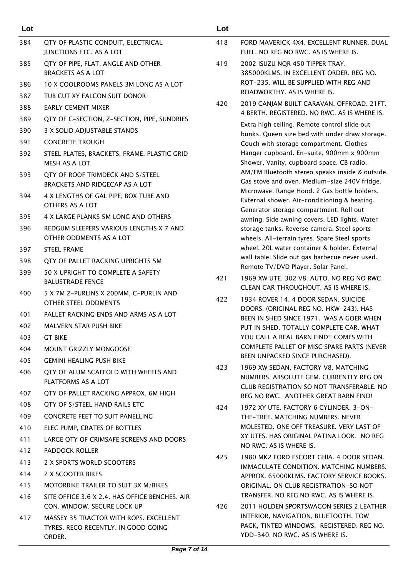| Lot |                                                                                         | Lot |
|-----|-----------------------------------------------------------------------------------------|-----|
| 384 | QTY OF PLASTIC CONDUIT, ELECTRICAL                                                      | 418 |
|     | JUNCTIONS ETC. AS A LOT                                                                 |     |
| 385 | QTY OF PIPE, FLAT, ANGLE AND OTHER<br><b>BRACKETS AS A LOT</b>                          | 419 |
| 386 | 10 X COOLROOMS PANELS 3M LONG AS A LOT                                                  |     |
| 387 | TUB CUT XY FALCON SUIT DONOR                                                            |     |
| 388 | <b>EARLY CEMENT MIXER</b>                                                               | 420 |
| 389 | QTY OF C-SECTION, Z-SECTION, PIPE, SUNDRIES                                             |     |
| 390 | 3 X SOLID ADJUSTABLE STANDS                                                             |     |
| 391 | <b>CONCRETE TROUGH</b>                                                                  |     |
| 392 | STEEL PLATES, BRACKETS, FRAME, PLASTIC GRID<br><b>MESH AS A LOT</b>                     |     |
| 393 | QTY OF ROOF TRIMDECK AND S/STEEL<br>BRACKETS AND RIDGECAP AS A LOT                      |     |
| 394 | 4 X LENGTHS OF GAL PIPE, BOX TUBE AND<br>OTHERS AS A LOT                                |     |
| 395 | 4 X LARGE PLANKS 5M LONG AND OTHERS                                                     |     |
| 396 | REDGUM SLEEPERS VARIOUS LENGTHS X 7 AND<br>OTHER ODDMENTS AS A LOT                      |     |
| 397 | <b>STEEL FRAME</b>                                                                      |     |
| 398 | QTY OF PALLET RACKING UPRIGHTS 5M                                                       |     |
| 399 | 50 X UPRIGHT TO COMPLETE A SAFETY<br><b>BALUSTRADE FENCE</b>                            | 421 |
| 400 | 5 X 7M Z-PURLINS X 200MM, C-PURLIN AND<br><b>OTHER STEEL ODDMENTS</b>                   | 422 |
| 401 | PALLET RACKING ENDS AND ARMS AS A LOT                                                   |     |
| 402 | <b>MALVERN STAR PUSH BIKE</b>                                                           |     |
| 403 | <b>GT BIKE</b>                                                                          |     |
| 404 | <b>MOUNT GRIZZLY MONGOOSE</b>                                                           |     |
| 405 | <b>GEMINI HEALING PUSH BIKE</b>                                                         |     |
| 406 | OTY OF ALUM SCAFFOLD WITH WHEELS AND<br>PLATFORMS AS A LOT                              | 423 |
| 407 | QTY OF PALLET RACKING APPROX. 6M HIGH                                                   |     |
| 408 | QTY OF S/STEEL HAND RAILS ETC                                                           | 424 |
| 409 | CONCRETE FEET TO SUIT PANELLING                                                         |     |
| 410 | ELEC PUMP, CRATES OF BOTTLES                                                            |     |
| 411 | LARGE QTY OF CRIMSAFE SCREENS AND DOORS                                                 |     |
| 412 | <b>PADDOCK ROLLER</b>                                                                   | 425 |
| 413 | 2 X SPORTS WORLD SCOOTERS                                                               |     |
| 414 | 2 X SCOOTER BIKES                                                                       |     |
| 415 | MOTORBIKE TRAILER TO SUIT 3X M/BIKES                                                    |     |
| 416 | SITE OFFICE 3.6 X 2.4. HAS OFFICE BENCHES. AIR<br>CON, WINDOW, SECURE LOCK UP           | 426 |
| 417 | MASSEY 35 TRACTOR WITH ROPS. EXCELLENT<br>TYRES. RECO RECENTLY. IN GOOD GOING<br>ORDER. |     |

| 418                | FORD MAVERICK 4X4. EXCELLENT RUNNER. DUAL |
|--------------------|-------------------------------------------|
|                    | FUEL. NO REG NO RWC. AS IS WHERE IS.      |
| $\lambda$ 1 $\sim$ | $20021011711100 150 750050 7011$          |

- 419 2002 ISUZU NQR 450 TIPPER TRAY. 385000KLMS. IN EXCELLENT ORDER. REG NO. RQT-235. WILL BE SUPPLIED WITH REG AND ROADWORTHY. AS IS WHERE IS.
- 420 2019 CANJAM BUILT CARAVAN. OFFROAD. 21FT. 4 BERTH. REGISTERED. NO RWC. AS IS WHERE IS.

Extra high ceiling. Remote control slide out bunks. Queen size bed with under draw storage. Couch with storage compartment. Clothes Hanger cupboard. En-suite, 900mm x 900mm Shower, Vanity, cupboard space. CB radio. AM/FM Bluetooth stereo speaks inside & outside. Gas stove and oven. Medium-size 240V fridge. Microwave. Range Hood. 2 Gas bottle holders. External shower. Air-conditioning & heating. Generator storage compartment. Roll out awning. Side awning covers. LED lights. Water storage tanks. Reverse camera. Steel sports wheels. All-terrain tyres. Spare Steel sports wheel. 20L water container & holder. External wall table. Slide out gas barbecue never used. Remote TV/DVD Player. Solar Panel.

- 421 1969 XW UTE. 302 V8. AUTO. NO REG NO RWC. CLEAN CAR THROUGHOUT. AS IS WHERE IS.
- 422 1934 ROVER 14. 4 DOOR SEDAN. SUICIDE DOORS. (ORIGINAL REG NO. HKW-243). HAS BEEN IN SHED SINCE 1971. WAS A GOER WHEN PUT IN SHED. TOTALLY COMPLETE CAR. WHAT YOU CALL A REAL BARN FIND! COMES WITH COMPLETE PALLET OF MISC SPARE PARTS (NEVER BEEN UNPACKED SINCE PURCHASED).
- 423 1969 XW SEDAN. FACTORY V8. MATCHING NUMBERS. ABSOLUTE GEM. CURRENTLY REG ON CLUB REGISTRATION SO NOT TRANSFERABLE. NO REG NO RWC. ANOTHER GREAT BARN FIND!
- 424 1972 XY UTE. FACTORY 6 CYLINDER. 3-ON-THE-TREE. MATCHING NUMBERS. NEVER MOLESTED. ONE OFF TREASURE. VERY LAST OF XY UTES. HAS ORIGINAL PATINA LOOK. NO REG NO RWC. AS IS WHERE IS.
- 425 1980 MK2 FORD ESCORT GHIA. 4 DOOR SEDAN. IMMACULATE CONDITION. MATCHING NUMBERS. APPROX. 65000KLMS. FACTORY SERVICE BOOKS. ORIGINAL. ON CLUB REGISTRATION-SO NOT TRANSFER. NO REG NO RWC. AS IS WHERE IS.
- 426 2011 HOLDEN SPORTSWAGON SERIES 2 LEATHER INTERIOR, NAVIGATION, BLUETOOTH, TOW PACK, TINTED WINDOWS. REGISTERED. REG NO. YDD-340. NO RWC. AS IS WHERE IS.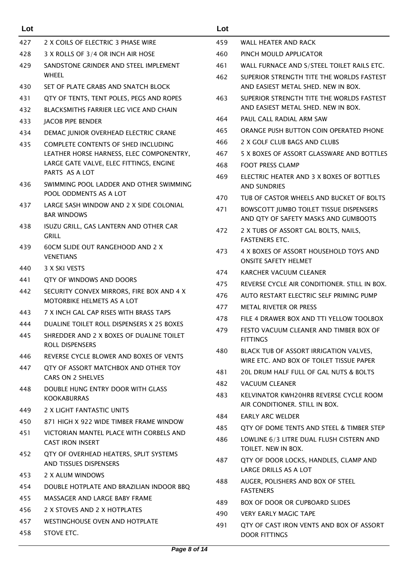| Lot |                                                                    | Lot |                                                                                  |
|-----|--------------------------------------------------------------------|-----|----------------------------------------------------------------------------------|
| 427 | 2 X COILS OF ELECTRIC 3 PHASE WIRE                                 | 459 | WALL HEATER AND RACK                                                             |
| 428 | 3 X ROLLS OF 3/4 OR INCH AIR HOSE                                  | 460 | PINCH MOULD APPLICATOR                                                           |
| 429 | SANDSTONE GRINDER AND STEEL IMPLEMENT                              | 461 | WALL FURNACE AND S/STEEL TOILET RAILS ETC.                                       |
| 430 | <b>WHEEL</b><br>SET OF PLATE GRABS AND SNATCH BLOCK                | 462 | SUPERIOR STRENGTH TITE THE WORLDS FASTEST<br>AND EASIEST METAL SHED. NEW IN BOX. |
| 431 | QTY OF TENTS, TENT POLES, PEGS AND ROPES                           | 463 | SUPERIOR STRENGTH TITE THE WORLDS FASTEST                                        |
| 432 | BLACKSMITHS FARRIER LEG VICE AND CHAIN                             |     | AND EASIEST METAL SHED. NEW IN BOX.                                              |
| 433 | <b>IACOB PIPE BENDER</b>                                           | 464 | PAUL CALL RADIAL ARM SAW                                                         |
| 434 | DEMAC JUNIOR OVERHEAD ELECTRIC CRANE                               | 465 | ORANGE PUSH BUTTON COIN OPERATED PHONE                                           |
| 435 | COMPLETE CONTENTS OF SHED INCLUDING                                | 466 | 2 X GOLF CLUB BAGS AND CLUBS                                                     |
|     | LEATHER HORSE HARNESS, ELEC COMPONENTRY,                           | 467 | 5 X BOXES OF ASSORT GLASSWARE AND BOTTLES                                        |
|     | LARGE GATE VALVE, ELEC FITTINGS, ENGINE                            | 468 | <b>FOOT PRESS CLAMP</b>                                                          |
| 436 | PARTS AS A LOT<br>SWIMMING POOL LADDER AND OTHER SWIMMING          | 469 | ELECTRIC HEATER AND 3 X BOXES OF BOTTLES<br><b>AND SUNDRIES</b>                  |
|     | POOL ODDMENTS AS A LOT                                             | 470 | TUB OF CASTOR WHEELS AND BUCKET OF BOLTS                                         |
| 437 | LARGE SASH WINDOW AND 2 X SIDE COLONIAL<br><b>BAR WINDOWS</b>      | 471 | BOWSCOTT JUMBO TOILET TISSUE DISPENSERS<br>AND QTY OF SAFETY MASKS AND GUMBOOTS  |
| 438 | ISUZU GRILL, GAS LANTERN AND OTHER CAR<br><b>GRILL</b>             | 472 | 2 X TUBS OF ASSORT GAL BOLTS, NAILS,<br><b>FASTENERS ETC.</b>                    |
| 439 | <b>60CM SLIDE OUT RANGEHOOD AND 2 X</b><br><b>VENETIANS</b>        | 473 | 4 X BOXES OF ASSORT HOUSEHOLD TOYS AND<br><b>ONSITE SAFETY HELMET</b>            |
| 440 | 3 X SKI VESTS                                                      | 474 | <b>KARCHER VACUUM CLEANER</b>                                                    |
| 441 | QTY OF WINDOWS AND DOORS                                           | 475 | REVERSE CYCLE AIR CONDITIONER. STILL IN BOX.                                     |
| 442 | SECURITY CONVEX MIRRORS, FIRE BOX AND 4 X                          | 476 | AUTO RESTART ELECTRIC SELF PRIMING PUMP                                          |
|     | <b>MOTORBIKE HELMETS AS A LOT</b>                                  | 477 | <b>METAL RIVETER OR PRESS</b>                                                    |
| 443 | 7 X INCH GAL CAP RISES WITH BRASS TAPS                             | 478 | FILE 4 DRAWER BOX AND TTI YELLOW TOOLBOX                                         |
| 444 | DUALINE TOILET ROLL DISPENSERS X 25 BOXES                          | 479 | FESTO VACUUM CLEANER AND TIMBER BOX OF                                           |
| 445 | SHREDDER AND 2 X BOXES OF DUALINE TOILET<br>ROLL DISPENSERS        | 480 | <b>FITTINGS</b><br>BLACK TUB OF ASSORT IRRIGATION VALVES,                        |
| 446 | REVERSE CYCLE BLOWER AND BOXES OF VENTS                            |     | WIRE ETC. AND BOX OF TOILET TISSUE PAPER                                         |
| 447 | QTY OF ASSORT MATCHBOX AND OTHER TOY                               | 481 | 20L DRUM HALF FULL OF GAL NUTS & BOLTS                                           |
|     | CARS ON 2 SHELVES                                                  | 482 | <b>VACUUM CLEANER</b>                                                            |
| 448 | DOUBLE HUNG ENTRY DOOR WITH GLASS<br><b>KOOKABURRAS</b>            | 483 | KELVINATOR KWH20HRB REVERSE CYCLE ROOM<br>AIR CONDITIONER. STILL IN BOX.         |
| 449 | 2 X LIGHT FANTASTIC UNITS                                          | 484 | <b>EARLY ARC WELDER</b>                                                          |
| 450 | 871 HIGH X 922 WIDE TIMBER FRAME WINDOW                            | 485 | QTY OF DOME TENTS AND STEEL & TIMBER STEP                                        |
| 451 | VICTORIAN MANTEL PLACE WITH CORBELS AND<br><b>CAST IRON INSERT</b> | 486 | LOWLINE 6/3 LITRE DUAL FLUSH CISTERN AND<br>TOILET. NEW IN BOX.                  |
| 452 | QTY OF OVERHEAD HEATERS, SPLIT SYSTEMS<br>AND TISSUES DISPENSERS   | 487 | QTY OF DOOR LOCKS, HANDLES, CLAMP AND                                            |
| 453 | 2 X ALUM WINDOWS                                                   | 488 | LARGE DRILLS AS A LOT<br>AUGER, POLISHERS AND BOX OF STEEL                       |
| 454 | DOUBLE HOTPLATE AND BRAZILIAN INDOOR BBQ                           |     | <b>FASTENERS</b>                                                                 |
| 455 | MASSAGER AND LARGE BABY FRAME                                      | 489 | <b>BOX OF DOOR OR CUPBOARD SLIDES</b>                                            |
| 456 | 2 X STOVES AND 2 X HOTPLATES                                       | 490 | <b>VERY EARLY MAGIC TAPE</b>                                                     |
| 457 | <b>WESTINGHOUSE OVEN AND HOTPLATE</b>                              | 491 | QTY OF CAST IRON VENTS AND BOX OF ASSORT                                         |
| 458 | STOVE ETC.                                                         |     | <b>DOOR FITTINGS</b>                                                             |

# **CLEANER AND TIMBER BOX OF** SSORT IRRIGATION VALVES,

- BOX OF TOILET TISSUE PAPER
- FULL OF GAL NUTS & BOLTS
- 482 VACUUM CLEANER
- H20HRB REVERSE CYCLE ROOM **ER. STILL IN BOX.**
- **DER**
- ENTS AND STEEL & TIMBER STEP
- **RE DUAL FLUSH CISTERN AND** BOX.
- OCKS, HANDLES, CLAMP AND S A LOT
- **RS AND BOX OF STEEL**
- **R CUPBOARD SLIDES**
- GIC TAPE
- ON VENTS AND BOX OF ASSORT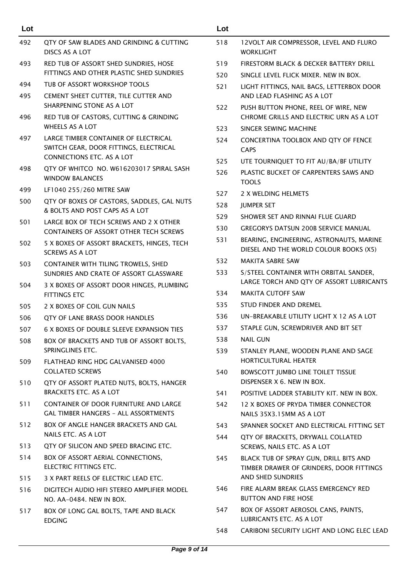| Lot |                                                                                                             | Lot |                                                                                    |
|-----|-------------------------------------------------------------------------------------------------------------|-----|------------------------------------------------------------------------------------|
| 492 | QTY OF SAW BLADES AND GRINDING & CUTTING<br>DISCS AS A LOT                                                  | 518 | 12VOLT AIR COMPRESSOR, LEVEL AND FLURO<br><b>WORKLIGHT</b>                         |
| 493 | RED TUB OF ASSORT SHED SUNDRIES, HOSE                                                                       | 519 | FIRESTORM BLACK & DECKER BATTERY DRILL                                             |
|     | FITTINGS AND OTHER PLASTIC SHED SUNDRIES                                                                    | 520 | SINGLE LEVEL FLICK MIXER. NEW IN BOX.                                              |
| 494 | TUB OF ASSORT WORKSHOP TOOLS                                                                                | 521 | LIGHT FITTINGS, NAIL BAGS, LETTERBOX DOOR                                          |
| 495 | CEMENT SHEET CUTTER, TILE CUTTER AND<br>SHARPENING STONE AS A LOT                                           | 522 | AND LEAD FLASHING AS A LOT<br>PUSH BUTTON PHONE, REEL OF WIRE, NEW                 |
| 496 | RED TUB OF CASTORS, CUTTING & GRINDING<br><b>WHEELS AS A LOT</b>                                            | 523 | CHROME GRILLS AND ELECTRIC URN AS A LOT<br>SINGER SEWING MACHINE                   |
| 497 | LARGE TIMBER CONTAINER OF ELECTRICAL<br>SWITCH GEAR, DOOR FITTINGS, ELECTRICAL<br>CONNECTIONS ETC. AS A LOT | 524 | CONCERTINA TOOLBOX AND QTY OF FENCE<br><b>CAPS</b>                                 |
| 498 | QTY OF WHITCO NO. W616203017 SPIRAL SASH                                                                    | 525 | UTE TOURNIQUET TO FIT AU/BA/BF UTILITY                                             |
|     | <b>WINDOW BALANCES</b>                                                                                      | 526 | PLASTIC BUCKET OF CARPENTERS SAWS AND<br><b>TOOLS</b>                              |
| 499 | LF1040 255/260 MITRE SAW                                                                                    | 527 | 2 X WELDING HELMETS                                                                |
| 500 | QTY OF BOXES OF CASTORS, SADDLES, GAL NUTS<br>& BOLTS AND POST CAPS AS A LOT                                | 528 | <b>JUMPER SET</b>                                                                  |
| 501 | LARGE BOX OF TECH SCREWS AND 2 X OTHER                                                                      | 529 | SHOWER SET AND RINNAI FLUE GUARD                                                   |
|     | <b>CONTAINERS OF ASSORT OTHER TECH SCREWS</b>                                                               | 530 | <b>GREGORYS DATSUN 200B SERVICE MANUAL</b>                                         |
| 502 | 5 X BOXES OF ASSORT BRACKETS, HINGES, TECH<br><b>SCREWS AS A LOT</b>                                        | 531 | BEARING, ENGINEERING, ASTRONAUTS, MARINE<br>DIESEL AND THE WORLD COLOUR BOOKS (X5) |
| 503 | CONTAINER WITH TILING TROWELS, SHED                                                                         | 532 | <b>MAKITA SABRE SAW</b>                                                            |
|     | SUNDRIES AND CRATE OF ASSORT GLASSWARE                                                                      | 533 | S/STEEL CONTAINER WITH ORBITAL SANDER,<br>LARGE TORCH AND QTY OF ASSORT LUBRICANTS |
| 504 | 3 X BOXES OF ASSORT DOOR HINGES, PLUMBING<br><b>FITTINGS ETC</b>                                            | 534 | <b>MAKITA CUTOFF SAW</b>                                                           |
| 505 | 2 X BOXES OF COIL GUN NAILS                                                                                 | 535 | STUD FINDER AND DREMEL                                                             |
| 506 | QTY OF LANE BRASS DOOR HANDLES                                                                              | 536 | UN-BREAKABLE UTILITY LIGHT X 12 AS A LOT                                           |
| 507 | 6 X BOXES OF DOUBLE SLEEVE EXPANSION TIES                                                                   | 537 | STAPLE GUN, SCREWDRIVER AND BIT SET                                                |
| 508 | BOX OF BRACKETS AND TUB OF ASSORT BOLTS,                                                                    | 538 | <b>NAIL GUN</b>                                                                    |
| 509 | SPRINGLINES ETC.<br>FLATHEAD RING HDG GALVANISED 4000                                                       | 539 | STANLEY PLANE, WOODEN PLANE AND SAGE<br>HORTICULTURAL HEATER                       |
|     | <b>COLLATED SCREWS</b>                                                                                      | 540 | <b>BOWSCOTT JUMBO LINE TOILET TISSUE</b><br>DISPENSER X 6. NEW IN BOX.             |
| 510 | QTY OF ASSORT PLATED NUTS, BOLTS, HANGER<br>BRACKETS ETC. AS A LOT                                          | 541 | POSITIVE LADDER STABILITY KIT. NEW IN BOX.                                         |
| 511 | CONTAINER OF DOOR FURNITURE AND LARGE<br><b>GAL TIMBER HANGERS - ALL ASSORTMENTS</b>                        | 542 | 12 X BOXES OF PRYDA TIMBER CONNECTOR<br>NAILS 35X3.15MM AS A LOT                   |
| 512 | BOX OF ANGLE HANGER BRACKETS AND GAL                                                                        | 543 | SPANNER SOCKET AND ELECTRICAL FITTING SET                                          |
| 513 | NAILS ETC. AS A LOT<br>QTY OF SILICON AND SPEED BRACING ETC.                                                | 544 | QTY OF BRACKETS, DRYWALL COLLATED                                                  |
| 514 | BOX OF ASSORT AERIAL CONNECTIONS,                                                                           | 545 | SCREWS, NAILS ETC. AS A LOT<br>BLACK TUB OF SPRAY GUN, DRILL BITS AND              |
|     | ELECTRIC FITTINGS ETC.                                                                                      |     | TIMBER DRAWER OF GRINDERS, DOOR FITTINGS                                           |
| 515 | 3 X PART REELS OF ELECTRIC LEAD ETC.                                                                        |     | AND SHED SUNDRIES                                                                  |
| 516 | DIGITECH AUDIO HIFI STEREO AMPLIFIER MODEL<br>NO. AA-0484. NEW IN BOX.                                      | 546 | FIRE ALARM BREAK GLASS EMERGENCY RED<br><b>BUTTON AND FIRE HOSE</b>                |
| 517 | BOX OF LONG GAL BOLTS, TAPE AND BLACK<br><b>EDGING</b>                                                      | 547 | BOX OF ASSORT AEROSOL CANS, PAINTS,<br>LUBRICANTS ETC. AS A LOT                    |
|     |                                                                                                             | 548 | CARIBONI SECURITY LIGHT AND LONG ELEC LEAD                                         |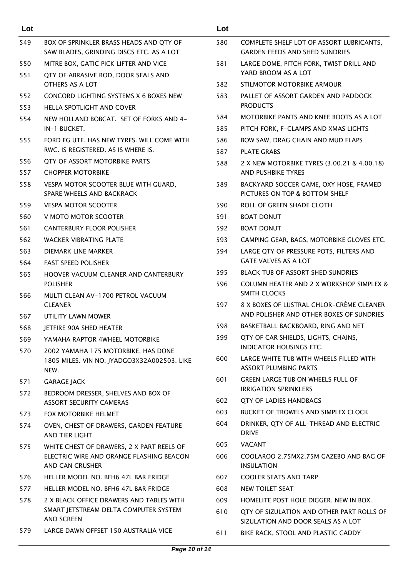| Lot |                                                                                   | Lot        |                                                                                 |
|-----|-----------------------------------------------------------------------------------|------------|---------------------------------------------------------------------------------|
| 549 | BOX OF SPRINKLER BRASS HEADS AND QTY OF                                           | 580        | COMPLETE SHELF LOT OF ASSORT LUBRICANTS,                                        |
|     | SAW BLADES, GRINDING DISCS ETC. AS A LOT                                          |            | <b>GARDEN FEEDS AND SHED SUNDRIES</b>                                           |
| 550 | MITRE BOX, GATIC PICK LIFTER AND VICE                                             | 581        | LARGE DOME, PITCH FORK, TWIST DRILL AND                                         |
| 551 | QTY OF ABRASIVE ROD, DOOR SEALS AND                                               |            | YARD BROOM AS A LOT                                                             |
|     | OTHERS AS A LOT                                                                   | 582        | STILMOTOR MOTORBIKE ARMOUR                                                      |
| 552 | CONCORD LIGHTING SYSTEMS X 6 BOXES NEW                                            | 583        | PALLET OF ASSORT GARDEN AND PADDOCK                                             |
| 553 | HELLA SPOTLIGHT AND COVER                                                         |            | <b>PRODUCTS</b>                                                                 |
| 554 | NEW HOLLAND BOBCAT. SET OF FORKS AND 4-                                           | 584        | MOTORBIKE PANTS AND KNEE BOOTS AS A LOT                                         |
|     | IN-1 BUCKET.                                                                      | 585        | PITCH FORK, F-CLAMPS AND XMAS LIGHTS                                            |
| 555 | FORD FG UTE. HAS NEW TYRES. WILL COME WITH<br>RWC. IS REGISTERED. AS IS WHERE IS. | 586<br>587 | BOW SAW, DRAG CHAIN AND MUD FLAPS<br><b>PLATE GRABS</b>                         |
| 556 | QTY OF ASSORT MOTORBIKE PARTS                                                     | 588        | 2 X NEW MOTORBIKE TYRES (3.00.21 & 4.00.18)                                     |
| 557 | <b>CHOPPER MOTORBIKE</b>                                                          |            | AND PUSHBIKE TYRES                                                              |
| 558 | VESPA MOTOR SCOOTER BLUE WITH GUARD,<br>SPARE WHEELS AND BACKRACK                 | 589        | BACKYARD SOCCER GAME, OXY HOSE, FRAMED<br>PICTURES ON TOP & BOTTOM SHELF        |
| 559 | <b>VESPA MOTOR SCOOTER</b>                                                        | 590        | ROLL OF GREEN SHADE CLOTH                                                       |
| 560 | V MOTO MOTOR SCOOTER                                                              | 591        | <b>BOAT DONUT</b>                                                               |
| 561 | <b>CANTERBURY FLOOR POLISHER</b>                                                  | 592        | <b>BOAT DONUT</b>                                                               |
| 562 | WACKER VIBRATING PLATE                                                            | 593        | CAMPING GEAR, BAGS, MOTORBIKE GLOVES ETC.                                       |
| 563 | DIEMARK LINE MARKER                                                               | 594        | LARGE QTY OF PRESSURE POTS, FILTERS AND                                         |
| 564 | <b>FAST SPEED POLISHER</b>                                                        |            | <b>GATE VALVES AS A LOT</b>                                                     |
| 565 | HOOVER VACUUM CLEANER AND CANTERBURY                                              | 595        | <b>BLACK TUB OF ASSORT SHED SUNDRIES</b>                                        |
| 566 | <b>POLISHER</b><br>MULTI CLEAN AV-1700 PETROL VACUUM                              | 596        | COLUMN HEATER AND 2 X WORKSHOP SIMPLEX &<br><b>SMITH CLOCKS</b>                 |
|     | <b>CLEANER</b>                                                                    | 597        | 8 X BOXES OF LUSTRAL CHLOR-CRÈME CLEANER                                        |
| 567 | UTILITY LAWN MOWER                                                                |            | AND POLISHER AND OTHER BOXES OF SUNDRIES                                        |
| 568 | JETFIRE 90A SHED HEATER                                                           | 598        | BASKETBALL BACKBOARD, RING AND NET                                              |
| 569 | YAMAHA RAPTOR 4WHEEL MOTORBIKE                                                    | 599        | QTY OF CAR SHIELDS, LIGHTS, CHAINS,<br><b>INDICATOR HOUSINGS ETC.</b>           |
| 570 | 2002 YAMAHA 175 MOTORBIKE, HAS DONE                                               | 600        | LARGE WHITE TUB WITH WHEELS FILLED WITH                                         |
|     | 1805 MILES. VIN NO. JYADGO3X32A002503. LIKE<br>NEW.                               |            | <b>ASSORT PLUMBING PARTS</b>                                                    |
| 571 | <b>GARAGE JACK</b>                                                                | 601        | <b>GREEN LARGE TUB ON WHEELS FULL OF</b>                                        |
| 572 | BEDROOM DRESSER, SHELVES AND BOX OF                                               |            | <b>IRRIGATION SPRINKLERS</b>                                                    |
|     | <b>ASSORT SECURITY CAMERAS</b>                                                    | 602.       | <b>QTY OF LADIES HANDBAGS</b>                                                   |
| 573 | <b>FOX MOTORBIKE HELMET</b>                                                       | 603        | <b>BUCKET OF TROWELS AND SIMPLEX CLOCK</b>                                      |
| 574 | OVEN, CHEST OF DRAWERS, GARDEN FEATURE<br>AND TIER LIGHT                          | 604        | DRINKER, QTY OF ALL-THREAD AND ELECTRIC<br><b>DRIVE</b>                         |
| 575 | WHITE CHEST OF DRAWERS, 2 X PART REELS OF                                         | 605        | <b>VACANT</b>                                                                   |
|     | ELECTRIC WIRE AND ORANGE FLASHING BEACON<br>AND CAN CRUSHER                       | 606        | COOLAROO 2.75MX2.75M GAZEBO AND BAG OF<br><b>INSULATION</b>                     |
| 576 | HELLER MODEL NO. BFH6 47L BAR FRIDGE                                              | 607        | <b>COOLER SEATS AND TARP</b>                                                    |
| 577 | HELLER MODEL NO. BFH6 47L BAR FRIDGE                                              | 608        | NEW TOILET SEAT                                                                 |
| 578 | 2 X BLACK OFFICE DRAWERS AND TABLES WITH                                          | 609        | HOMELITE POST HOLE DIGGER. NEW IN BOX.                                          |
|     | SMART JETSTREAM DELTA COMPUTER SYSTEM<br><b>AND SCREEN</b>                        | 610        | QTY OF SIZULATION AND OTHER PART ROLLS OF<br>SIZULATION AND DOOR SEALS AS A LOT |
| 579 | LARGE DAWN OFFSET 150 AUSTRALIA VICE                                              | 611        | BIKE RACK, STOOL AND PLASTIC CADDY                                              |
|     |                                                                                   |            |                                                                                 |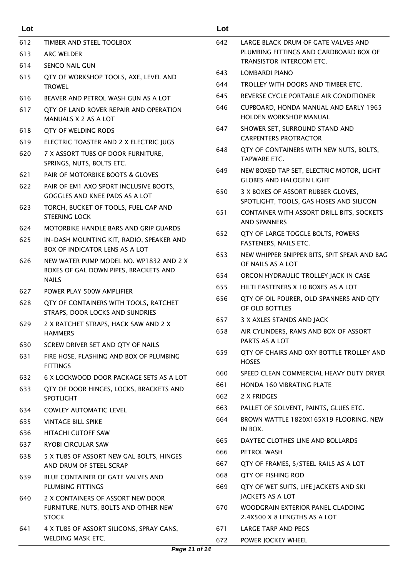| Lot |                                                                           | Lot        |                                                                               |
|-----|---------------------------------------------------------------------------|------------|-------------------------------------------------------------------------------|
| 612 | TIMBER AND STEEL TOOLBOX                                                  | 642        | LARGE BLACK DRUM OF GATE VALVES AND                                           |
| 613 | <b>ARC WELDER</b>                                                         |            | PLUMBING FITTINGS AND CARDBOARD BOX OF                                        |
| 614 | <b>SENCO NAIL GUN</b>                                                     |            | TRANSISTOR INTERCOM ETC.                                                      |
| 615 | QTY OF WORKSHOP TOOLS, AXE, LEVEL AND                                     | 643        | <b>LOMBARDI PIANO</b>                                                         |
|     | <b>TROWEL</b>                                                             | 644        | TROLLEY WITH DOORS AND TIMBER ETC.<br>REVERSE CYCLE PORTABLE AIR CONDITIONER  |
| 616 | BEAVER AND PETROL WASH GUN AS A LOT                                       | 645        |                                                                               |
| 617 | QTY OF LAND ROVER REPAIR AND OPERATION<br>MANUALS X 2 AS A LOT            | 646        | CUPBOARD, HONDA MANUAL AND EARLY 1965<br><b>HOLDEN WORKSHOP MANUAL</b>        |
| 618 | QTY OF WELDING RODS                                                       | 647        | SHOWER SET, SURROUND STAND AND                                                |
| 619 | ELECTRIC TOASTER AND 2 X ELECTRIC JUGS                                    |            | <b>CARPENTERS PROTRACTOR</b>                                                  |
| 620 | 7 X ASSORT TUBS OF DOOR FURNITURE,<br>SPRINGS, NUTS, BOLTS ETC.           | 648        | QTY OF CONTAINERS WITH NEW NUTS, BOLTS,<br><b>TAPWARE ETC.</b>                |
| 621 | PAIR OF MOTORBIKE BOOTS & GLOVES                                          | 649        | NEW BOXED TAP SET, ELECTRIC MOTOR, LIGHT<br><b>GLOBES AND HALOGEN LIGHT</b>   |
| 622 | PAIR OF EM1 AXO SPORT INCLUSIVE BOOTS,<br>GOGGLES AND KNEE PADS AS A LOT  | 650        | 3 X BOXES OF ASSORT RUBBER GLOVES,<br>SPOTLIGHT, TOOLS, GAS HOSES AND SILICON |
| 623 | TORCH, BUCKET OF TOOLS, FUEL CAP AND<br><b>STEERING LOCK</b>              | 651        | CONTAINER WITH ASSORT DRILL BITS, SOCKET!<br><b>AND SPANNERS</b>              |
| 624 | MOTORBIKE HANDLE BARS AND GRIP GUARDS                                     | 652        | QTY OF LARGE TOGGLE BOLTS, POWERS                                             |
| 625 | IN-DASH MOUNTING KIT, RADIO, SPEAKER AND                                  |            | FASTENERS, NAILS ETC.                                                         |
|     | <b>BOX OF INDICATOR LENS AS A LOT</b>                                     | 653        | NEW WHIPPER SNIPPER BITS, SPIT SPEAR AND BA                                   |
| 626 | NEW WATER PUMP MODEL NO. WP1832 AND 2 X                                   |            | OF NAILS AS A LOT                                                             |
|     | BOXES OF GAL DOWN PIPES, BRACKETS AND<br><b>NAILS</b>                     | 654        | ORCON HYDRAULIC TROLLEY JACK IN CASE                                          |
| 627 | POWER PLAY 500W AMPLIFIER                                                 | 655        | HILTI FASTENERS X 10 BOXES AS A LOT                                           |
| 628 | QTY OF CONTAINERS WITH TOOLS, RATCHET                                     | 656        | QTY OF OIL POURER, OLD SPANNERS AND QTY                                       |
|     | STRAPS, DOOR LOCKS AND SUNDRIES                                           |            | OF OLD BOTTLES                                                                |
| 629 | 2 X RATCHET STRAPS, HACK SAW AND 2 X                                      | 657        | 3 X AXLES STANDS AND JACK                                                     |
|     | <b>HAMMERS</b>                                                            | 658        | AIR CYLINDERS, RAMS AND BOX OF ASSORT                                         |
| 630 | SCREW DRIVER SET AND QTY OF NAILS                                         |            | PARTS AS A LOT                                                                |
| 631 | FIRE HOSE, FLASHING AND BOX OF PLUMBING<br><b>FITTINGS</b>                | 659        | QTY OF CHAIRS AND OXY BOTTLE TROLLEY AN<br><b>HOSES</b>                       |
| 632 | 6 X LOCKWOOD DOOR PACKAGE SETS AS A LOT                                   | 660        | SPEED CLEAN COMMERCIAL HEAVY DUTY DRYE                                        |
| 633 | QTY OF DOOR HINGES, LOCKS, BRACKETS AND                                   | 661        | HONDA 160 VIBRATING PLATE                                                     |
|     | <b>SPOTLIGHT</b>                                                          | 662        | 2 X FRIDGES                                                                   |
| 634 | <b>COWLEY AUTOMATIC LEVEL</b>                                             | 663        | PALLET OF SOLVENT, PAINTS, GLUES ETC.                                         |
| 635 | <b>VINTAGE BILL SPIKE</b>                                                 | 664        | BROWN WATTLE 1820X165X19 FLOORING. NEV                                        |
| 636 | HITACHI CUTOFF SAW                                                        |            | IN BOX.                                                                       |
| 637 | <b>RYOBI CIRCULAR SAW</b>                                                 | 665<br>666 | DAYTEC CLOTHES LINE AND BOLLARDS<br>PETROL WASH                               |
| 638 | 5 X TUBS OF ASSORT NEW GAL BOLTS, HINGES                                  |            |                                                                               |
|     | AND DRUM OF STEEL SCRAP                                                   | 667        | QTY OF FRAMES, S/STEEL RAILS AS A LOT                                         |
| 639 | BLUE CONTAINER OF GATE VALVES AND<br>PLUMBING FITTINGS                    | 668        | QTY OF FISHING ROD                                                            |
|     |                                                                           | 669        | QTY OF WET SUITS, LIFE JACKETS AND SKI<br>JACKETS AS A LOT                    |
| 640 | 2 X CONTAINERS OF ASSORT NEW DOOR<br>FURNITURE, NUTS, BOLTS AND OTHER NEW | 670        | WOODGRAIN EXTERIOR PANEL CLADDING                                             |
|     | <b>STOCK</b>                                                              |            | 2.4X500 X 8 LENGTHS AS A LOT                                                  |
| 641 | 4 X TUBS OF ASSORT SILICONS, SPRAY CANS,                                  | 671        | LARGE TARP AND PEGS                                                           |
|     | WELDING MASK ETC.                                                         | 672        | POWER JOCKEY WHEEL                                                            |

|      | TRANSISTOR INTERCOM ETC.                                                      |
|------|-------------------------------------------------------------------------------|
| 643  | LOMBARDI PIANO                                                                |
| 644  | TROLLEY WITH DOORS AND TIMBER ETC.                                            |
| 645  | REVERSE CYCLE PORTABLE AIR CONDITIONER                                        |
| 646  | CUPBOARD, HONDA MANUAL AND EARLY 1965<br><b>HOLDEN WORKSHOP MANUAL</b>        |
| 647  | SHOWER SET, SURROUND STAND AND<br><b>CARPENTERS PROTRACTOR</b>                |
| 648  | QTY OF CONTAINERS WITH NEW NUTS, BOLTS,<br><b>TAPWARE ETC.</b>                |
| 649  | NEW BOXED TAP SET, ELECTRIC MOTOR, LIGHT<br><b>GLOBES AND HALOGEN LIGHT</b>   |
| 650  | 3 X BOXES OF ASSORT RUBBER GLOVES,<br>SPOTLIGHT, TOOLS, GAS HOSES AND SILICON |
| 651  | CONTAINER WITH ASSORT DRILL BITS, SOCKETS<br><b>AND SPANNERS</b>              |
| 652  | QTY OF LARGE TOGGLE BOLTS, POWERS<br>FASTENERS, NAILS ETC.                    |
| 653  | NEW WHIPPER SNIPPER BITS, SPIT SPEAR AND BAG<br>OF NAILS AS A LOT             |
| 654  | ORCON HYDRAULIC TROLLEY JACK IN CASE                                          |
| 655  | HILTI FASTENERS X 10 BOXES AS A LOT                                           |
| 656  | QTY OF OIL POURER, OLD SPANNERS AND QTY<br>OF OLD BOTTLES                     |
| 657  | 3 X AXLES STANDS AND JACK                                                     |
| 658  | AIR CYLINDERS, RAMS AND BOX OF ASSORT<br>PARTS AS A LOT                       |
| 659  | OTY OF CHAIRS AND OXY BOTTLE TROLLEY AND<br><b>HOSES</b>                      |
| 660  | SPEED CLEAN COMMERCIAL HEAVY DUTY DRYER                                       |
| 661  | <b>HONDA 160 VIBRATING PLATE</b>                                              |
| 662  | 2 X FRIDGES                                                                   |
| 663. | PALLET OF SOLVENT, PAINTS, GLUES ETC.                                         |
| 664  | BROWN WATTLE 1820X165X19 FLOORING. NEW<br>IN BOX.                             |
| 665  | DAYTEC CLOTHES LINE AND BOLLARDS                                              |
| 666  | PETROL WASH                                                                   |
| 667  | QTY OF FRAMES, S/STEEL RAILS AS A LOT                                         |
| 668  | QTY OF FISHING ROD                                                            |
| 669  | QTY OF WET SUITS, LIFE JACKETS AND SKI<br>JACKETS AS A LOT                    |
| 670  | WOODGRAIN EXTERIOR PANEL CLADDING<br>2.4X500 X 8 LENGTHS AS A LOT             |
| 671  | <b>LARGE TARP AND PEGS</b>                                                    |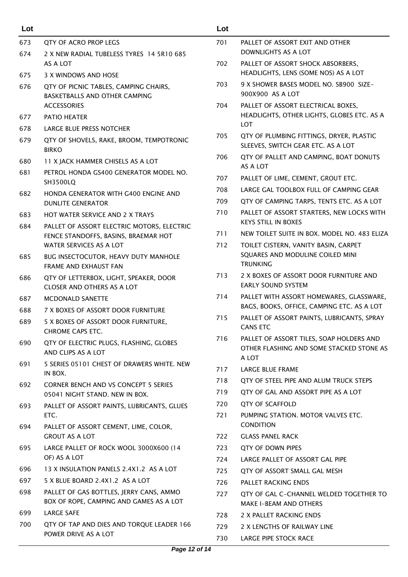| Lot |                                                                                    | Lot                                      |                                                                                        |
|-----|------------------------------------------------------------------------------------|------------------------------------------|----------------------------------------------------------------------------------------|
| 673 | QTY OF ACRO PROP LEGS                                                              | 701                                      | PALLET OF ASSORT EXIT AND OTHER                                                        |
| 674 | 2 X NEW RADIAL TUBELESS TYRES 14 5R10 685                                          |                                          | DOWNLIGHTS AS A LOT                                                                    |
|     | AS A LOT                                                                           | 702                                      | PALLET OF ASSORT SHOCK ABSORBERS,                                                      |
| 675 | 3 X WINDOWS AND HOSE                                                               |                                          | HEADLIGHTS, LENS (SOME NOS) AS A LOT                                                   |
| 676 | QTY OF PICNIC TABLES, CAMPING CHAIRS,                                              | 703                                      | 9 X SHOWER BASES MODEL NO. SB900 SIZE-<br>900X900 AS A LOT                             |
|     | BASKETBALLS AND OTHER CAMPING<br><b>ACCESSORIES</b>                                | 704                                      | PALLET OF ASSORT ELECTRICAL BOXES,                                                     |
| 677 | PATIO HEATER                                                                       |                                          | HEADLIGHTS, OTHER LIGHTS, GLOBES ETC. AS A                                             |
| 678 | <b>LARGE BLUE PRESS NOTCHER</b>                                                    |                                          | LOT                                                                                    |
| 679 | 705<br>QTY OF SHOVELS, RAKE, BROOM, TEMPOTRONIC                                    | QTY OF PLUMBING FITTINGS, DRYER, PLASTIC |                                                                                        |
|     | <b>BIRKO</b>                                                                       |                                          | SLEEVES, SWITCH GEAR ETC. AS A LOT                                                     |
| 680 | 11 X JACK HAMMER CHISELS AS A LOT                                                  | 706                                      | QTY OF PALLET AND CAMPING, BOAT DONUTS                                                 |
| 681 | PETROL HONDA GS400 GENERATOR MODEL NO.                                             |                                          | AS A LOT                                                                               |
|     | SH3500LQ                                                                           | 707                                      | PALLET OF LIME, CEMENT, GROUT ETC.<br>LARGE GAL TOOLBOX FULL OF CAMPING GEAR           |
| 682 | HONDA GENERATOR WITH G400 ENGINE AND                                               | 708                                      |                                                                                        |
|     | <b>DUNLITE GENERATOR</b>                                                           | 709                                      | QTY OF CAMPING TARPS, TENTS ETC. AS A LOT<br>PALLET OF ASSORT STARTERS, NEW LOCKS WITH |
| 683 | <b>HOT WATER SERVICE AND 2 X TRAYS</b>                                             | 710                                      | <b>KEYS STILL IN BOXES</b>                                                             |
| 684 | PALLET OF ASSORT ELECTRIC MOTORS, ELECTRIC<br>FENCE STANDOFFS, BASINS, BRAEMAR HOT | 711                                      | NEW TOILET SUITE IN BOX. MODEL NO. 483 ELIZA                                           |
|     | WATER SERVICES AS A LOT                                                            | 712                                      | TOILET CISTERN, VANITY BASIN, CARPET                                                   |
| 685 | BUG INSECTOCUTOR, HEAVY DUTY MANHOLE                                               |                                          | SQUARES AND MODULINE COILED MINI                                                       |
|     | FRAME AND EXHAUST FAN                                                              |                                          | <b>TRUNKING</b>                                                                        |
| 686 | QTY OF LETTERBOX, LIGHT, SPEAKER, DOOR                                             | 713                                      | 2 X BOXES OF ASSORT DOOR FURNITURE AND                                                 |
|     | CLOSER AND OTHERS AS A LOT                                                         |                                          | <b>EARLY SOUND SYSTEM</b>                                                              |
| 687 | <b>MCDONALD SANETTE</b>                                                            | 714                                      | PALLET WITH ASSORT HOMEWARES, GLASSWARE,<br>BAGS, BOOKS, OFFICE, CAMPING ETC. AS A LOT |
| 688 | 7 X BOXES OF ASSORT DOOR FURNITURE                                                 | 715                                      | PALLET OF ASSORT PAINTS, LUBRICANTS, SPRAY                                             |
| 689 | 5 X BOXES OF ASSORT DOOR FURNITURE,                                                |                                          | <b>CANS ETC</b>                                                                        |
|     | CHROME CAPS ETC.                                                                   | 716                                      | PALLET OF ASSORT TILES, SOAP HOLDERS AND                                               |
| 690 | QTY OF ELECTRIC PLUGS, FLASHING, GLOBES<br>AND CLIPS AS A LOT                      |                                          | OTHER FLASHING AND SOME STACKED STONE AS                                               |
| 691 | 5 SERIES 05101 CHEST OF DRAWERS WHITE. NEW                                         |                                          | A LOT                                                                                  |
|     | IN BOX.                                                                            | 717                                      | LARGE BLUE FRAME                                                                       |
| 692 | <b>CORNER BENCH AND VS CONCEPT 5 SERIES</b>                                        | 718                                      | QTY OF STEEL PIPE AND ALUM TRUCK STEPS                                                 |
|     | 05041 NIGHT STAND. NEW IN BOX.                                                     | 719                                      | QTY OF GAL AND ASSORT PIPE AS A LOT                                                    |
| 693 | PALLET OF ASSORT PAINTS, LUBRICANTS, GLUES                                         | 720                                      | <b>QTY OF SCAFFOLD</b>                                                                 |
|     | ETC.                                                                               | 721                                      | PUMPING STATION. MOTOR VALVES ETC.<br><b>CONDITION</b>                                 |
| 694 | PALLET OF ASSORT CEMENT, LIME, COLOR,<br><b>GROUT AS A LOT</b>                     | 722                                      | <b>GLASS PANEL RACK</b>                                                                |
| 695 | LARGE PALLET OF ROCK WOOL 3000X600 (14                                             | 723                                      | QTY OF DOWN PIPES                                                                      |
|     | OF) AS A LOT                                                                       | 724                                      | LARGE PALLET OF ASSORT GAL PIPE                                                        |
| 696 | 13 X INSULATION PANELS 2.4X1.2 AS A LOT                                            | 725                                      | QTY OF ASSORT SMALL GAL MESH                                                           |
| 697 | 5 X BLUE BOARD 2.4X1.2 AS A LOT                                                    | 726                                      | PALLET RACKING ENDS                                                                    |
| 698 | PALLET OF GAS BOTTLES, JERRY CANS, AMMO                                            | 727                                      | QTY OF GAL C-CHANNEL WELDED TOGETHER TO                                                |
|     | BOX OF ROPE, CAMPING AND GAMES AS A LOT                                            |                                          | <b>MAKE I-BEAM AND OTHERS</b>                                                          |
| 699 | <b>LARGE SAFE</b>                                                                  | 728                                      | 2 X PALLET RACKING ENDS                                                                |
| 700 | QTY OF TAP AND DIES AND TORQUE LEADER 166<br>POWER DRIVE AS A LOT                  | 729                                      | 2 X LENGTHS OF RAILWAY LINE                                                            |
|     |                                                                                    | 730                                      | LARGE PIPE STOCK RACE                                                                  |
|     |                                                                                    |                                          |                                                                                        |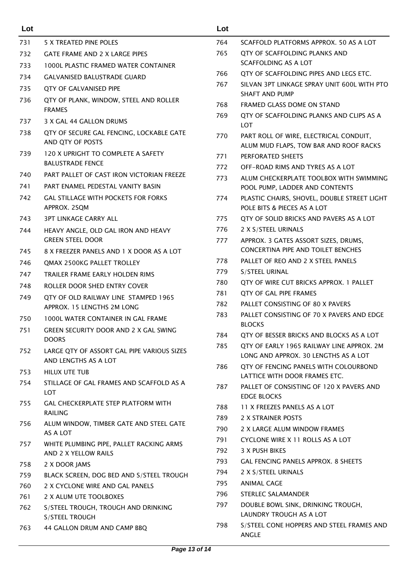| Lot        |                                                                             | Lot        |                                                                            |
|------------|-----------------------------------------------------------------------------|------------|----------------------------------------------------------------------------|
| 731        | 5 X TREATED PINE POLES                                                      | 764        | SCAFFOLD PLATFORMS APPROX, 50 AS A LOT                                     |
| 732        | <b>GATE FRAME AND 2 X LARGE PIPES</b>                                       | 765        | QTY OF SCAFFOLDING PLANKS AND                                              |
| 733        | <b>1000L PLASTIC FRAMED WATER CONTAINER</b>                                 |            | SCAFFOLDING AS A LOT                                                       |
| 734        | <b>GALVANISED BALUSTRADE GUARD</b>                                          | 766        | QTY OF SCAFFOLDING PIPES AND LEGS ETC.                                     |
| 735        | QTY OF GALVANISED PIPE                                                      | 767        | SILVAN 3PT LINKAGE SPRAY UNIT 600L WITH PTO                                |
| 736        | QTY OF PLANK, WINDOW, STEEL AND ROLLER                                      |            | <b>SHAFT AND PUMP</b>                                                      |
|            | <b>FRAMES</b>                                                               | 768<br>769 | FRAMED GLASS DOME ON STAND<br>OTY OF SCAFFOLDING PLANKS AND CLIPS AS A     |
| 737        | 3 X GAL 44 GALLON DRUMS                                                     |            | <b>LOT</b>                                                                 |
| 738        | QTY OF SECURE GAL FENCING, LOCKABLE GATE                                    | 770        | PART ROLL OF WIRE, ELECTRICAL CONDUIT,                                     |
|            | AND QTY OF POSTS                                                            |            | ALUM MUD FLAPS, TOW BAR AND ROOF RACKS                                     |
| 739        | 120 X UPRIGHT TO COMPLETE A SAFETY                                          | 771        | PERFORATED SHEETS                                                          |
|            | <b>BALUSTRADE FENCE</b>                                                     | 772        | OFF-ROAD RIMS AND TYRES AS A LOT                                           |
| 740        | PART PALLET OF CAST IRON VICTORIAN FREEZE                                   | 773        | ALUM CHECKERPLATE TOOLBOX WITH SWIMMING                                    |
| 741        | PART ENAMEL PEDESTAL VANITY BASIN                                           |            | POOL PUMP, LADDER AND CONTENTS                                             |
| 742        | <b>GAL STILLAGE WITH POCKETS FOR FORKS</b><br>APPROX. 2SQM                  | 774        | PLASTIC CHAIRS, SHOVEL, DOUBLE STREET LIGHT<br>POLE BITS & PIECES AS A LOT |
| 743        | <b>3PT LINKAGE CARRY ALL</b>                                                | 775        | QTY OF SOLID BRICKS AND PAVERS AS A LOT                                    |
| 744        | HEAVY ANGLE, OLD GAL IRON AND HEAVY                                         | 776        | 2 X S/STEEL URINALS                                                        |
|            | <b>GREEN STEEL DOOR</b>                                                     | 777        | APPROX. 3 GATES ASSORT SIZES, DRUMS,                                       |
| 745        | 8 X FREEZER PANELS AND 1 X DOOR AS A LOT                                    |            | <b>CONCERTINA PIPE AND TOILET BENCHES</b>                                  |
| 746        | QMAX 2500KG PALLET TROLLEY                                                  | 778        | PALLET OF REO AND 2 X STEEL PANELS                                         |
| 747        | TRAILER FRAME EARLY HOLDEN RIMS                                             | 779        | S/STEEL URINAL                                                             |
| 748        | ROLLER DOOR SHED ENTRY COVER                                                | 780        | QTY OF WIRE CUT BRICKS APPROX. 1 PALLET                                    |
| 749        | QTY OF OLD RAILWAY LINE STAMPED 1965                                        | 781        | QTY OF GAL PIPE FRAMES                                                     |
|            | APPROX. 15 LENGTHS 2M LONG                                                  | 782        | PALLET CONSISTING OF 80 X PAVERS                                           |
| 750        | 1000L WATER CONTAINER IN GAL FRAME                                          | 783        | PALLET CONSISTING OF 70 X PAVERS AND EDGE<br><b>BLOCKS</b>                 |
| 751        | GREEN SECURITY DOOR AND 2 X GAL SWING                                       | 784        | QTY OF BESSER BRICKS AND BLOCKS AS A LOT                                   |
|            | <b>DOORS</b>                                                                | 785        | QTY OF EARLY 1965 RAILWAY LINE APPROX. 2M                                  |
| 752        | LARGE QTY OF ASSORT GAL PIPE VARIOUS SIZES<br>AND LENGTHS AS A LOT          |            | LONG AND APPROX. 30 LENGTHS AS A LOT                                       |
| 753        | HILUX UTE TUB                                                               | 786        | QTY OF FENCING PANELS WITH COLOURBOND                                      |
| 754        | STILLAGE OF GAL FRAMES AND SCAFFOLD AS A                                    |            | LATTICE WITH DOOR FRAMES ETC.                                              |
|            | <b>LOT</b>                                                                  | 787        | PALLET OF CONSISTING OF 120 X PAVERS AND<br><b>EDGE BLOCKS</b>             |
| 755        | GAL CHECKERPLATE STEP PLATFORM WITH                                         | 788        | 11 X FREEZES PANELS AS A LOT                                               |
|            | <b>RAILING</b>                                                              | 789        | 2 X STRAINER POSTS                                                         |
| 756        | ALUM WINDOW, TIMBER GATE AND STEEL GATE                                     | 790        | 2 X LARGE ALUM WINDOW FRAMES                                               |
|            | AS A LOT                                                                    | 791        | CYCLONE WIRE X 11 ROLLS AS A LOT                                           |
| 757        | WHITE PLUMBING PIPE, PALLET RACKING ARMS                                    | 792        | 3 X PUSH BIKES                                                             |
|            | AND 2 X YELLOW RAILS                                                        | 793        | GAL FENCING PANELS APPROX. 8 SHEETS                                        |
| 758        | 2 X DOOR JAMS                                                               | 794        | 2 X S/STEEL URINALS                                                        |
| 759        | BLACK SCREEN, DOG BED AND S/STEEL TROUGH<br>2 X CYCLONE WIRE AND GAL PANELS | 795        | <b>ANIMAL CAGE</b>                                                         |
| 760        |                                                                             | 796        | STERLEC SALAMANDER                                                         |
| 761<br>762 | 2 X ALUM UTE TOOLBOXES<br>S/STEEL TROUGH, TROUGH AND DRINKING               | 797        | DOUBLE BOWL SINK, DRINKING TROUGH,                                         |
|            | S/STEEL TROUGH                                                              |            | LAUNDRY TROUGH AS A LOT                                                    |
| 763        | 44 GALLON DRUM AND CAMP BBQ                                                 | 798        | S/STEEL CONE HOPPERS AND STEEL FRAMES AND                                  |
|            |                                                                             |            | ANGLE                                                                      |